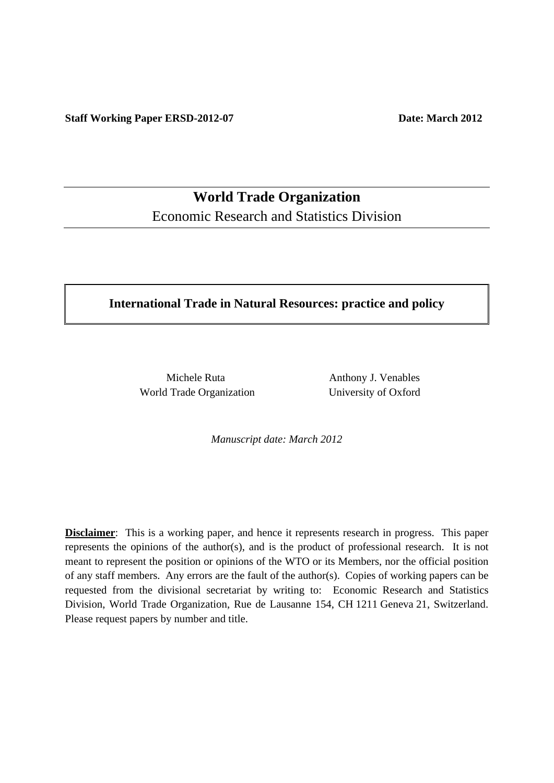**World Trade Organization**  Economic Research and Statistics Division

## **International Trade in Natural Resources: practice and policy**

World Trade Organization University of Oxford

Michele Ruta **Anthony J. Venables** 

*Manuscript date: March 2012* 

**Disclaimer**: This is a working paper, and hence it represents research in progress. This paper represents the opinions of the author(s), and is the product of professional research. It is not meant to represent the position or opinions of the WTO or its Members, nor the official position of any staff members. Any errors are the fault of the author(s). Copies of working papers can be requested from the divisional secretariat by writing to: Economic Research and Statistics Division, World Trade Organization, Rue de Lausanne 154, CH 1211 Geneva 21, Switzerland. Please request papers by number and title.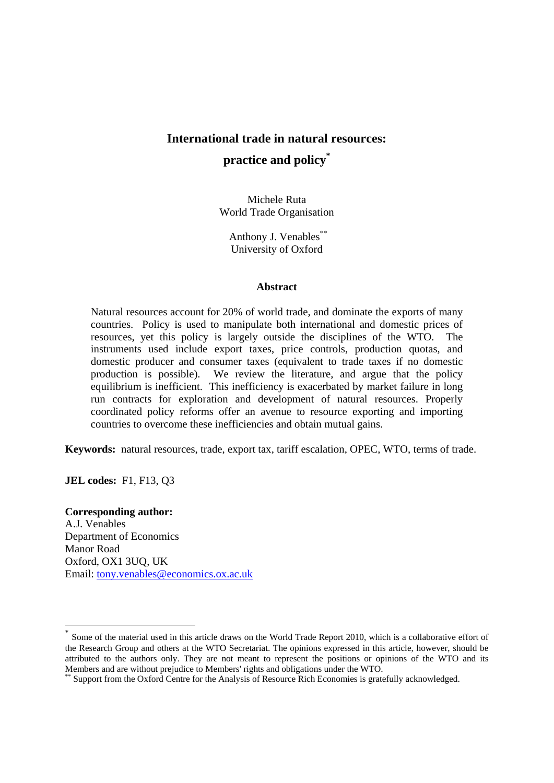# **International trade in natural resources: practice and policy\***

Michele Ruta World Trade Organisation

 Anthony J. Venables\*\* University of Oxford

#### **Abstract**

Natural resources account for 20% of world trade, and dominate the exports of many countries. Policy is used to manipulate both international and domestic prices of resources, yet this policy is largely outside the disciplines of the WTO. The instruments used include export taxes, price controls, production quotas, and domestic producer and consumer taxes (equivalent to trade taxes if no domestic production is possible). We review the literature, and argue that the policy equilibrium is inefficient. This inefficiency is exacerbated by market failure in long run contracts for exploration and development of natural resources. Properly coordinated policy reforms offer an avenue to resource exporting and importing countries to overcome these inefficiencies and obtain mutual gains.

**Keywords:** natural resources, trade, export tax, tariff escalation, OPEC, WTO, terms of trade.

**JEL codes:** F1, F13, Q3

## **Corresponding author:**

-

A.J. Venables Department of Economics Manor Road Oxford, OX1 3UQ, UK Email: tony.venables@economics.ox.ac.uk

Some of the material used in this article draws on the World Trade Report 2010, which is a collaborative effort of the Research Group and others at the WTO Secretariat. The opinions expressed in this article, however, should be attributed to the authors only. They are not meant to represent the positions or opinions of the WTO and its Members and are without prejudice to Members' rights and obligations under the WTO.

<sup>\*\*</sup> Support from the Oxford Centre for the Analysis of Resource Rich Economies is gratefully acknowledged.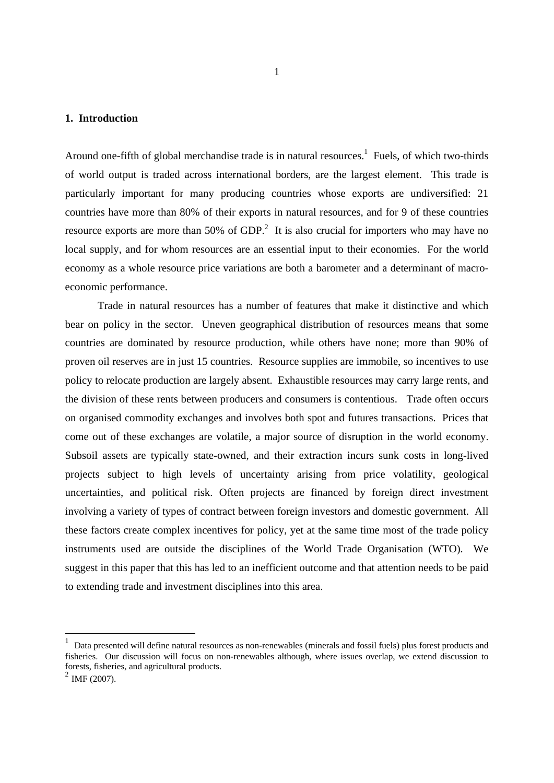## **1. Introduction**

Around one-fifth of global merchandise trade is in natural resources.<sup>1</sup> Fuels, of which two-thirds of world output is traded across international borders, are the largest element. This trade is particularly important for many producing countries whose exports are undiversified: 21 countries have more than 80% of their exports in natural resources, and for 9 of these countries resource exports are more than 50% of  $GDP<sup>2</sup>$ . It is also crucial for importers who may have no local supply, and for whom resources are an essential input to their economies. For the world economy as a whole resource price variations are both a barometer and a determinant of macroeconomic performance.

 Trade in natural resources has a number of features that make it distinctive and which bear on policy in the sector. Uneven geographical distribution of resources means that some countries are dominated by resource production, while others have none; more than 90% of proven oil reserves are in just 15 countries. Resource supplies are immobile, so incentives to use policy to relocate production are largely absent. Exhaustible resources may carry large rents, and the division of these rents between producers and consumers is contentious. Trade often occurs on organised commodity exchanges and involves both spot and futures transactions. Prices that come out of these exchanges are volatile, a major source of disruption in the world economy. Subsoil assets are typically state-owned, and their extraction incurs sunk costs in long-lived projects subject to high levels of uncertainty arising from price volatility, geological uncertainties, and political risk. Often projects are financed by foreign direct investment involving a variety of types of contract between foreign investors and domestic government. All these factors create complex incentives for policy, yet at the same time most of the trade policy instruments used are outside the disciplines of the World Trade Organisation (WTO). We suggest in this paper that this has led to an inefficient outcome and that attention needs to be paid to extending trade and investment disciplines into this area.

<sup>1</sup> Data presented will define natural resources as non-renewables (minerals and fossil fuels) plus forest products and fisheries. Our discussion will focus on non-renewables although, where issues overlap, we extend discussion to forests, fisheries, and agricultural products.

 $2$  IMF (2007).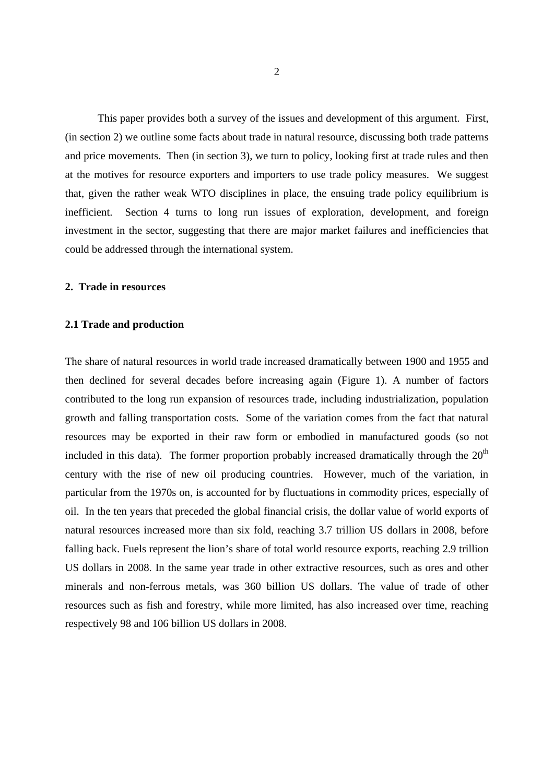This paper provides both a survey of the issues and development of this argument. First, (in section 2) we outline some facts about trade in natural resource, discussing both trade patterns and price movements. Then (in section 3), we turn to policy, looking first at trade rules and then at the motives for resource exporters and importers to use trade policy measures. We suggest that, given the rather weak WTO disciplines in place, the ensuing trade policy equilibrium is inefficient. Section 4 turns to long run issues of exploration, development, and foreign investment in the sector, suggesting that there are major market failures and inefficiencies that could be addressed through the international system.

#### **2. Trade in resources**

#### **2.1 Trade and production**

The share of natural resources in world trade increased dramatically between 1900 and 1955 and then declined for several decades before increasing again (Figure 1). A number of factors contributed to the long run expansion of resources trade, including industrialization, population growth and falling transportation costs. Some of the variation comes from the fact that natural resources may be exported in their raw form or embodied in manufactured goods (so not included in this data). The former proportion probably increased dramatically through the  $20<sup>th</sup>$ century with the rise of new oil producing countries. However, much of the variation, in particular from the 1970s on, is accounted for by fluctuations in commodity prices, especially of oil. In the ten years that preceded the global financial crisis, the dollar value of world exports of natural resources increased more than six fold, reaching 3.7 trillion US dollars in 2008, before falling back. Fuels represent the lion's share of total world resource exports, reaching 2.9 trillion US dollars in 2008. In the same year trade in other extractive resources, such as ores and other minerals and non-ferrous metals, was 360 billion US dollars. The value of trade of other resources such as fish and forestry, while more limited, has also increased over time, reaching respectively 98 and 106 billion US dollars in 2008.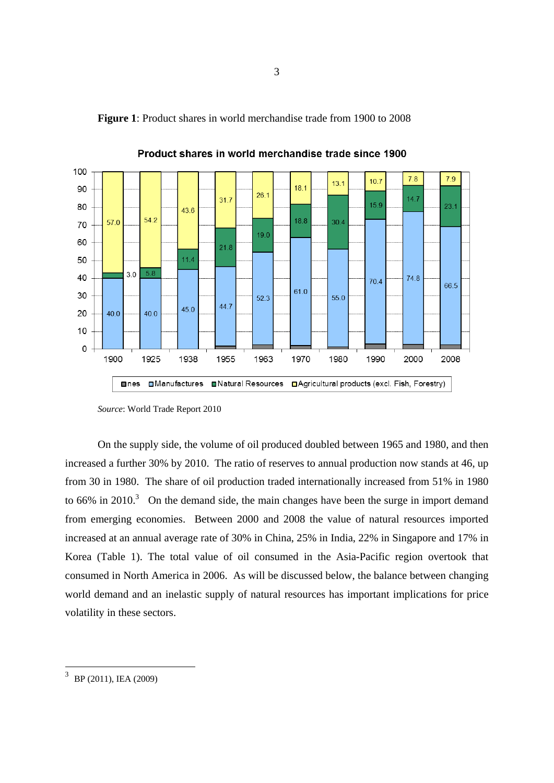

**Figure 1**: Product shares in world merchandise trade from 1900 to 2008

On the supply side, the volume of oil produced doubled between 1965 and 1980, and then increased a further 30% by 2010. The ratio of reserves to annual production now stands at 46, up from 30 in 1980. The share of oil production traded internationally increased from 51% in 1980 to 66% in 2010.<sup>3</sup> On the demand side, the main changes have been the surge in import demand from emerging economies. Between 2000 and 2008 the value of natural resources imported increased at an annual average rate of 30% in China, 25% in India, 22% in Singapore and 17% in Korea (Table 1). The total value of oil consumed in the Asia-Pacific region overtook that consumed in North America in 2006. As will be discussed below, the balance between changing world demand and an inelastic supply of natural resources has important implications for price volatility in these sectors.

*Source*: World Trade Report 2010

<sup>&</sup>lt;sup>3</sup> BP (2011), IEA (2009)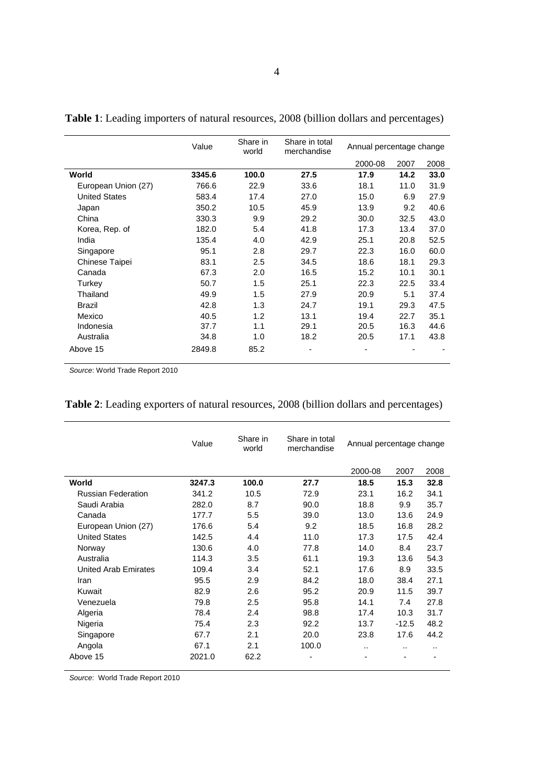|                      | Value  | Share in<br>world | Share in total<br>merchandise | Annual percentage change |      |      |
|----------------------|--------|-------------------|-------------------------------|--------------------------|------|------|
|                      |        |                   |                               | 2000-08                  | 2007 | 2008 |
| World                | 3345.6 | 100.0             | 27.5                          | 17.9                     | 14.2 | 33.0 |
| European Union (27)  | 766.6  | 22.9              | 33.6                          | 18.1                     | 11.0 | 31.9 |
| <b>United States</b> | 583.4  | 17.4              | 27.0                          | 15.0                     | 6.9  | 27.9 |
| Japan                | 350.2  | 10.5              | 45.9                          | 13.9                     | 9.2  | 40.6 |
| China                | 330.3  | 9.9               | 29.2                          | 30.0                     | 32.5 | 43.0 |
| Korea, Rep. of       | 182.0  | 5.4               | 41.8                          | 17.3                     | 13.4 | 37.0 |
| India                | 135.4  | 4.0               | 42.9                          | 25.1                     | 20.8 | 52.5 |
| Singapore            | 95.1   | 2.8               | 29.7                          | 22.3                     | 16.0 | 60.0 |
| Chinese Taipei       | 83.1   | 2.5               | 34.5                          | 18.6                     | 18.1 | 29.3 |
| Canada               | 67.3   | 2.0               | 16.5                          | 15.2                     | 10.1 | 30.1 |
| Turkey               | 50.7   | 1.5               | 25.1                          | 22.3                     | 22.5 | 33.4 |
| Thailand             | 49.9   | 1.5               | 27.9                          | 20.9                     | 5.1  | 37.4 |
| <b>Brazil</b>        | 42.8   | 1.3               | 24.7                          | 19.1                     | 29.3 | 47.5 |
| Mexico               | 40.5   | 1.2               | 13.1                          | 19.4                     | 22.7 | 35.1 |
| Indonesia            | 37.7   | 1.1               | 29.1                          | 20.5                     | 16.3 | 44.6 |
| Australia            | 34.8   | 1.0               | 18.2                          | 20.5                     | 17.1 | 43.8 |
| Above 15             | 2849.8 | 85.2              |                               |                          |      |      |

**Table 1**: Leading importers of natural resources, 2008 (billion dollars and percentages)

*Source*: World Trade Report 2010

|                             | Value  | Share in<br>world | Share in total<br>merchandise | Annual percentage change |         |      |
|-----------------------------|--------|-------------------|-------------------------------|--------------------------|---------|------|
|                             |        |                   |                               | 2000-08                  | 2007    | 2008 |
| World                       | 3247.3 | 100.0             | 27.7                          | 18.5                     | 15.3    | 32.8 |
| <b>Russian Federation</b>   | 341.2  | 10.5              | 72.9                          | 23.1                     | 16.2    | 34.1 |
| Saudi Arabia                | 282.0  | 8.7               | 90.0                          | 18.8                     | 9.9     | 35.7 |
| Canada                      | 177.7  | 5.5               | 39.0                          | 13.0                     | 13.6    | 24.9 |
| European Union (27)         | 176.6  | 5.4               | 9.2                           | 18.5                     | 16.8    | 28.2 |
| <b>United States</b>        | 142.5  | 4.4               | 11.0                          | 17.3                     | 17.5    | 42.4 |
| Norway                      | 130.6  | 4.0               | 77.8                          | 14.0                     | 8.4     | 23.7 |
| Australia                   | 114.3  | 3.5               | 61.1                          | 19.3                     | 13.6    | 54.3 |
| <b>United Arab Emirates</b> | 109.4  | 3.4               | 52.1                          | 17.6                     | 8.9     | 33.5 |
| Iran                        | 95.5   | 2.9               | 84.2                          | 18.0                     | 38.4    | 27.1 |
| Kuwait                      | 82.9   | 2.6               | 95.2                          | 20.9                     | 11.5    | 39.7 |
| Venezuela                   | 79.8   | 2.5               | 95.8                          | 14.1                     | 7.4     | 27.8 |
| Algeria                     | 78.4   | 2.4               | 98.8                          | 17.4                     | 10.3    | 31.7 |
| Nigeria                     | 75.4   | 2.3               | 92.2                          | 13.7                     | $-12.5$ | 48.2 |
| Singapore                   | 67.7   | 2.1               | 20.0                          | 23.8                     | 17.6    | 44.2 |
| Angola                      | 67.1   | 2.1               | 100.0                         | $\cdot$ .                |         |      |
| Above 15                    | 2021.0 | 62.2              | -                             |                          |         |      |

|  | Table 2: Leading exporters of natural resources, 2008 (billion dollars and percentages) |  |  |  |  |
|--|-----------------------------------------------------------------------------------------|--|--|--|--|
|--|-----------------------------------------------------------------------------------------|--|--|--|--|

*Source*: World Trade Report 2010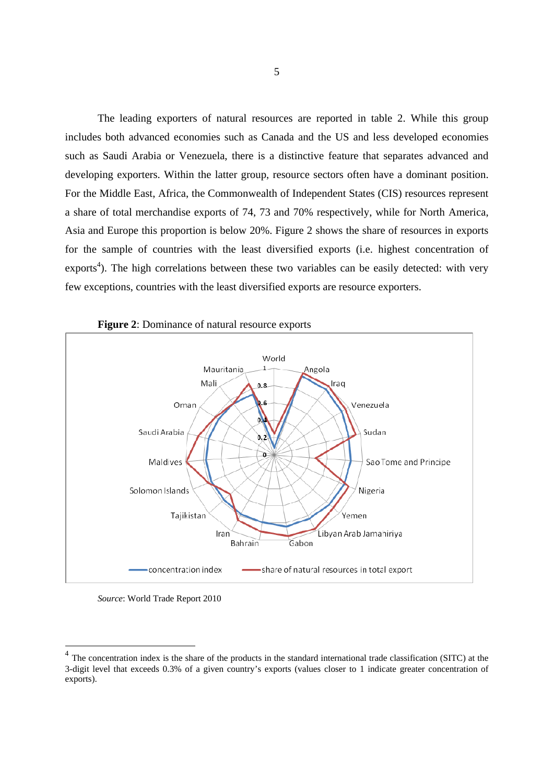The leading exporters of natural resources are reported in table 2. While this group includes both advanced economies such as Canada and the US and less developed economies such as Saudi Arabia or Venezuela, there is a distinctive feature that separates advanced and developing exporters. Within the latter group, resource sectors often have a dominant position. For the Middle East, Africa, the Commonwealth of Independent States (CIS) resources represent a share of total merchandise exports of 74, 73 and 70% respectively, while for North America, Asia and Europe this proportion is below 20%. Figure 2 shows the share of resources in exports for the sample of countries with the least diversified exports (i.e. highest concentration of exports<sup>4</sup>). The high correlations between these two variables can be easily detected: with very few exceptions, countries with the least diversified exports are resource exporters.



**Figure 2**: Dominance of natural resource exports

*Source*: World Trade Report 2010

<sup>&</sup>lt;sup>4</sup> The concentration index is the share of the products in the standard international trade classification (SITC) at the 3-digit level that exceeds 0.3% of a given country's exports (values closer to 1 indicate greater concentration of exports).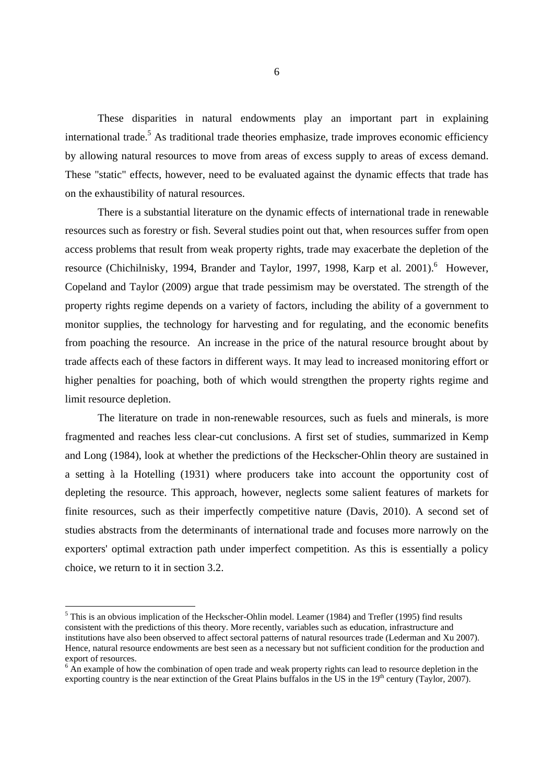These disparities in natural endowments play an important part in explaining international trade.<sup>5</sup> As traditional trade theories emphasize, trade improves economic efficiency by allowing natural resources to move from areas of excess supply to areas of excess demand. These "static" effects, however, need to be evaluated against the dynamic effects that trade has on the exhaustibility of natural resources.

There is a substantial literature on the dynamic effects of international trade in renewable resources such as forestry or fish. Several studies point out that, when resources suffer from open access problems that result from weak property rights, trade may exacerbate the depletion of the resource (Chichilnisky, 1994, Brander and Taylor, 1997, 1998, Karp et al. 2001).<sup>6</sup> However, Copeland and Taylor (2009) argue that trade pessimism may be overstated. The strength of the property rights regime depends on a variety of factors, including the ability of a government to monitor supplies, the technology for harvesting and for regulating, and the economic benefits from poaching the resource. An increase in the price of the natural resource brought about by trade affects each of these factors in different ways. It may lead to increased monitoring effort or higher penalties for poaching, both of which would strengthen the property rights regime and limit resource depletion.

The literature on trade in non-renewable resources, such as fuels and minerals, is more fragmented and reaches less clear-cut conclusions. A first set of studies, summarized in Kemp and Long (1984), look at whether the predictions of the Heckscher-Ohlin theory are sustained in a setting à la Hotelling (1931) where producers take into account the opportunity cost of depleting the resource. This approach, however, neglects some salient features of markets for finite resources, such as their imperfectly competitive nature (Davis, 2010). A second set of studies abstracts from the determinants of international trade and focuses more narrowly on the exporters' optimal extraction path under imperfect competition. As this is essentially a policy choice, we return to it in section 3.2.

 $\overline{a}$ 

<sup>&</sup>lt;sup>5</sup> This is an obvious implication of the Heckscher-Ohlin model. Leamer (1984) and Trefler (1995) find results consistent with the predictions of this theory. More recently, variables such as education, infrastructure and institutions have also been observed to affect sectoral patterns of natural resources trade (Lederman and Xu 2007). Hence, natural resource endowments are best seen as a necessary but not sufficient condition for the production and export of resources.

 $6 \text{ Å}$ n example of how the combination of open trade and weak property rights can lead to resource depletion in the exporting country is the near extinction of the Great Plains buffalos in the US in the  $19<sup>th</sup>$  century (Taylor, 2007).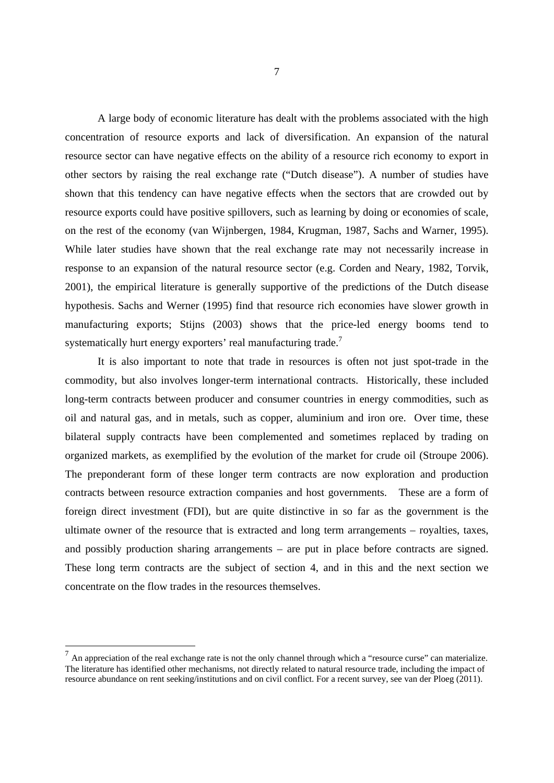A large body of economic literature has dealt with the problems associated with the high concentration of resource exports and lack of diversification. An expansion of the natural resource sector can have negative effects on the ability of a resource rich economy to export in other sectors by raising the real exchange rate ("Dutch disease"). A number of studies have shown that this tendency can have negative effects when the sectors that are crowded out by resource exports could have positive spillovers, such as learning by doing or economies of scale, on the rest of the economy (van Wijnbergen, 1984, Krugman, 1987, Sachs and Warner, 1995). While later studies have shown that the real exchange rate may not necessarily increase in response to an expansion of the natural resource sector (e.g. Corden and Neary, 1982, Torvik, 2001), the empirical literature is generally supportive of the predictions of the Dutch disease hypothesis. Sachs and Werner (1995) find that resource rich economies have slower growth in manufacturing exports; Stijns (2003) shows that the price-led energy booms tend to systematically hurt energy exporters' real manufacturing trade.<sup>7</sup>

 It is also important to note that trade in resources is often not just spot-trade in the commodity, but also involves longer-term international contracts. Historically, these included long-term contracts between producer and consumer countries in energy commodities, such as oil and natural gas, and in metals, such as copper, aluminium and iron ore. Over time, these bilateral supply contracts have been complemented and sometimes replaced by trading on organized markets, as exemplified by the evolution of the market for crude oil (Stroupe 2006). The preponderant form of these longer term contracts are now exploration and production contracts between resource extraction companies and host governments. These are a form of foreign direct investment (FDI), but are quite distinctive in so far as the government is the ultimate owner of the resource that is extracted and long term arrangements – royalties, taxes, and possibly production sharing arrangements – are put in place before contracts are signed. These long term contracts are the subject of section 4, and in this and the next section we concentrate on the flow trades in the resources themselves.

 $<sup>7</sup>$  An appreciation of the real exchange rate is not the only channel through which a "resource curse" can materialize.</sup> The literature has identified other mechanisms, not directly related to natural resource trade, including the impact of resource abundance on rent seeking/institutions and on civil conflict. For a recent survey, see van der Ploeg (2011).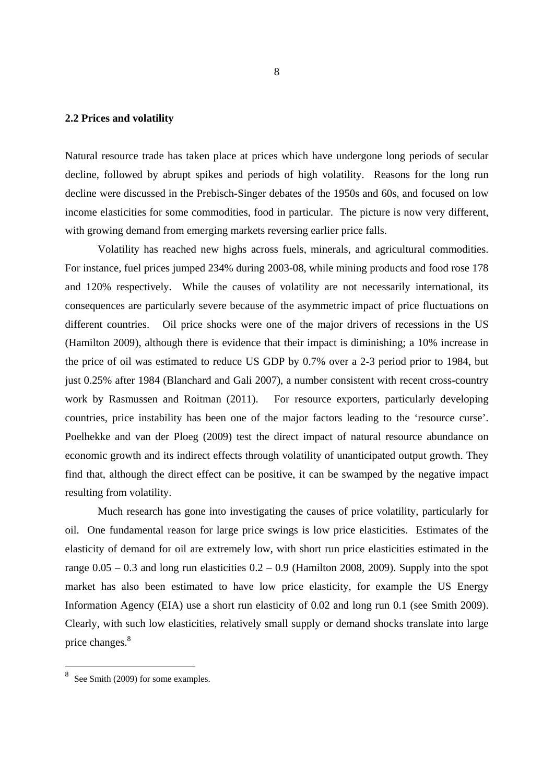#### **2.2 Prices and volatility**

Natural resource trade has taken place at prices which have undergone long periods of secular decline, followed by abrupt spikes and periods of high volatility. Reasons for the long run decline were discussed in the Prebisch-Singer debates of the 1950s and 60s, and focused on low income elasticities for some commodities, food in particular. The picture is now very different, with growing demand from emerging markets reversing earlier price falls.

Volatility has reached new highs across fuels, minerals, and agricultural commodities. For instance, fuel prices jumped 234% during 2003-08, while mining products and food rose 178 and 120% respectively. While the causes of volatility are not necessarily international, its consequences are particularly severe because of the asymmetric impact of price fluctuations on different countries. Oil price shocks were one of the major drivers of recessions in the US (Hamilton 2009), although there is evidence that their impact is diminishing; a 10% increase in the price of oil was estimated to reduce US GDP by 0.7% over a 2-3 period prior to 1984, but just 0.25% after 1984 (Blanchard and Gali 2007), a number consistent with recent cross-country work by Rasmussen and Roitman (2011). For resource exporters, particularly developing countries, price instability has been one of the major factors leading to the 'resource curse'. Poelhekke and van der Ploeg (2009) test the direct impact of natural resource abundance on economic growth and its indirect effects through volatility of unanticipated output growth. They find that, although the direct effect can be positive, it can be swamped by the negative impact resulting from volatility.

 Much research has gone into investigating the causes of price volatility, particularly for oil. One fundamental reason for large price swings is low price elasticities. Estimates of the elasticity of demand for oil are extremely low, with short run price elasticities estimated in the range  $0.05 - 0.3$  and long run elasticities  $0.2 - 0.9$  (Hamilton 2008, 2009). Supply into the spot market has also been estimated to have low price elasticity, for example the US Energy Information Agency (EIA) use a short run elasticity of 0.02 and long run 0.1 (see Smith 2009). Clearly, with such low elasticities, relatively small supply or demand shocks translate into large price changes.<sup>8</sup>

<sup>&</sup>lt;sup>8</sup> See Smith (2009) for some examples.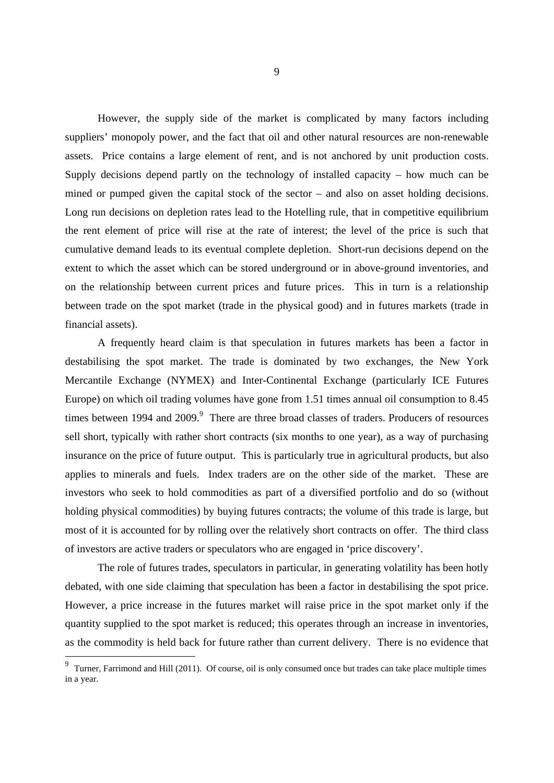However, the supply side of the market is complicated by many factors including suppliers' monopoly power, and the fact that oil and other natural resources are non-renewable assets. Price contains a large element of rent, and is not anchored by unit production costs. Supply decisions depend partly on the technology of installed capacity – how much can be mined or pumped given the capital stock of the sector – and also on asset holding decisions. Long run decisions on depletion rates lead to the Hotelling rule, that in competitive equilibrium the rent element of price will rise at the rate of interest; the level of the price is such that cumulative demand leads to its eventual complete depletion. Short-run decisions depend on the extent to which the asset which can be stored underground or in above-ground inventories, and on the relationship between current prices and future prices. This in turn is a relationship between trade on the spot market (trade in the physical good) and in futures markets (trade in financial assets).

A frequently heard claim is that speculation in futures markets has been a factor in destabilising the spot market. The trade is dominated by two exchanges, the New York Mercantile Exchange (NYMEX) and Inter-Continental Exchange (particularly ICE Futures Europe) on which oil trading volumes have gone from 1.51 times annual oil consumption to 8.45 times between 1994 and 2009.<sup>9</sup> There are three broad classes of traders. Producers of resources sell short, typically with rather short contracts (six months to one year), as a way of purchasing insurance on the price of future output. This is particularly true in agricultural products, but also applies to minerals and fuels. Index traders are on the other side of the market. These are investors who seek to hold commodities as part of a diversified portfolio and do so (without holding physical commodities) by buying futures contracts; the volume of this trade is large, but most of it is accounted for by rolling over the relatively short contracts on offer. The third class of investors are active traders or speculators who are engaged in 'price discovery'.

The role of futures trades, speculators in particular, in generating volatility has been hotly debated, with one side claiming that speculation has been a factor in destabilising the spot price. However, a price increase in the futures market will raise price in the spot market only if the quantity supplied to the spot market is reduced; this operates through an increase in inventories, as the commodity is held back for future rather than current delivery. There is no evidence that

<sup>&</sup>lt;sup>9</sup> Turner, Farrimond and Hill (2011). Of course, oil is only consumed once but trades can take place multiple times in a year.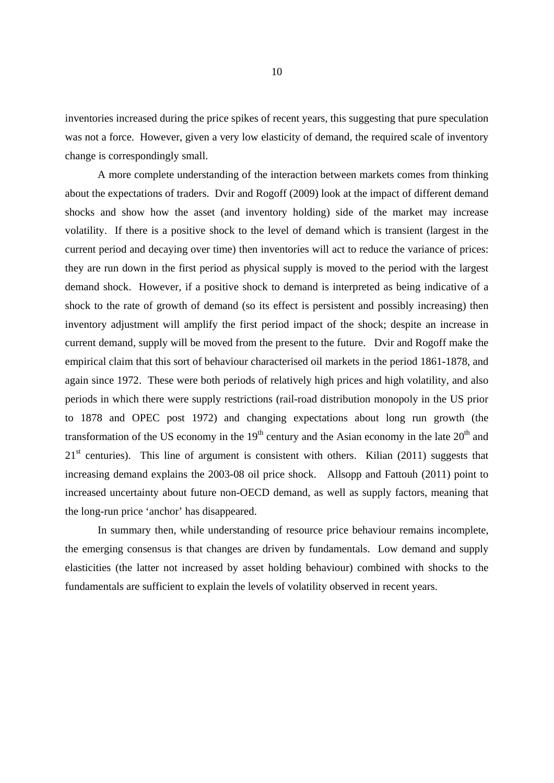inventories increased during the price spikes of recent years, this suggesting that pure speculation was not a force. However, given a very low elasticity of demand, the required scale of inventory change is correspondingly small.

A more complete understanding of the interaction between markets comes from thinking about the expectations of traders. Dvir and Rogoff (2009) look at the impact of different demand shocks and show how the asset (and inventory holding) side of the market may increase volatility. If there is a positive shock to the level of demand which is transient (largest in the current period and decaying over time) then inventories will act to reduce the variance of prices: they are run down in the first period as physical supply is moved to the period with the largest demand shock. However, if a positive shock to demand is interpreted as being indicative of a shock to the rate of growth of demand (so its effect is persistent and possibly increasing) then inventory adjustment will amplify the first period impact of the shock; despite an increase in current demand, supply will be moved from the present to the future. Dvir and Rogoff make the empirical claim that this sort of behaviour characterised oil markets in the period 1861-1878, and again since 1972. These were both periods of relatively high prices and high volatility, and also periods in which there were supply restrictions (rail-road distribution monopoly in the US prior to 1878 and OPEC post 1972) and changing expectations about long run growth (the transformation of the US economy in the  $19<sup>th</sup>$  century and the Asian economy in the late  $20<sup>th</sup>$  and  $21<sup>st</sup>$  centuries). This line of argument is consistent with others. Kilian (2011) suggests that increasing demand explains the 2003-08 oil price shock. Allsopp and Fattouh (2011) point to increased uncertainty about future non-OECD demand, as well as supply factors, meaning that the long-run price 'anchor' has disappeared.

 In summary then, while understanding of resource price behaviour remains incomplete, the emerging consensus is that changes are driven by fundamentals. Low demand and supply elasticities (the latter not increased by asset holding behaviour) combined with shocks to the fundamentals are sufficient to explain the levels of volatility observed in recent years.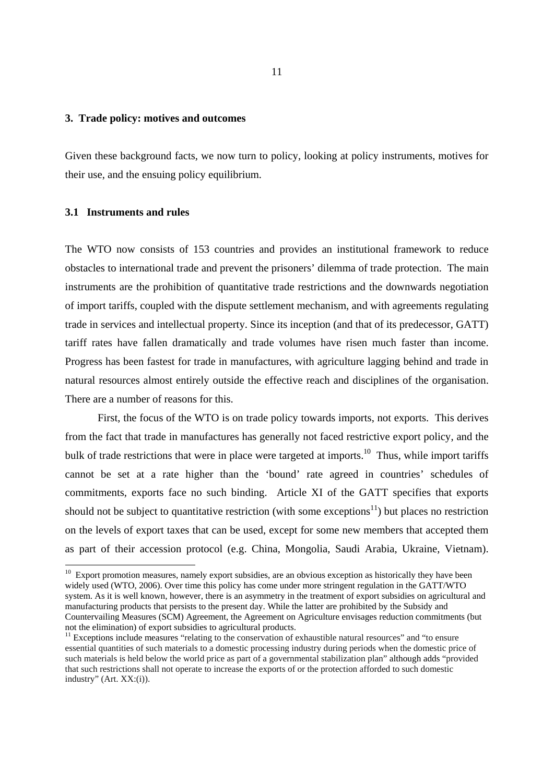## **3. Trade policy: motives and outcomes**

Given these background facts, we now turn to policy, looking at policy instruments, motives for their use, and the ensuing policy equilibrium.

#### **3.1 Instruments and rules**

-

The WTO now consists of 153 countries and provides an institutional framework to reduce obstacles to international trade and prevent the prisoners' dilemma of trade protection. The main instruments are the prohibition of quantitative trade restrictions and the downwards negotiation of import tariffs, coupled with the dispute settlement mechanism, and with agreements regulating trade in services and intellectual property. Since its inception (and that of its predecessor, GATT) tariff rates have fallen dramatically and trade volumes have risen much faster than income. Progress has been fastest for trade in manufactures, with agriculture lagging behind and trade in natural resources almost entirely outside the effective reach and disciplines of the organisation. There are a number of reasons for this.

 First, the focus of the WTO is on trade policy towards imports, not exports. This derives from the fact that trade in manufactures has generally not faced restrictive export policy, and the bulk of trade restrictions that were in place were targeted at imports.<sup>10</sup> Thus, while import tariffs cannot be set at a rate higher than the 'bound' rate agreed in countries' schedules of commitments, exports face no such binding. Article XI of the GATT specifies that exports should not be subject to quantitative restriction (with some exceptions<sup>11</sup>) but places no restriction on the levels of export taxes that can be used, except for some new members that accepted them as part of their accession protocol (e.g. China, Mongolia, Saudi Arabia, Ukraine, Vietnam).

 $10$  Export promotion measures, namely export subsidies, are an obvious exception as historically they have been widely used (WTO, 2006). Over time this policy has come under more stringent regulation in the GATT/WTO system. As it is well known, however, there is an asymmetry in the treatment of export subsidies on agricultural and manufacturing products that persists to the present day. While the latter are prohibited by the Subsidy and Countervailing Measures (SCM) Agreement, the Agreement on Agriculture envisages reduction commitments (but not the elimination) of export subsidies to agricultural products.

<sup>&</sup>lt;sup>11</sup> Exceptions include measures "relating to the conservation of exhaustible natural resources" and "to ensure essential quantities of such materials to a domestic processing industry during periods when the domestic price of such materials is held below the world price as part of a governmental stabilization plan" although adds "provided that such restrictions shall not operate to increase the exports of or the protection afforded to such domestic industry" (Art. XX:(i)).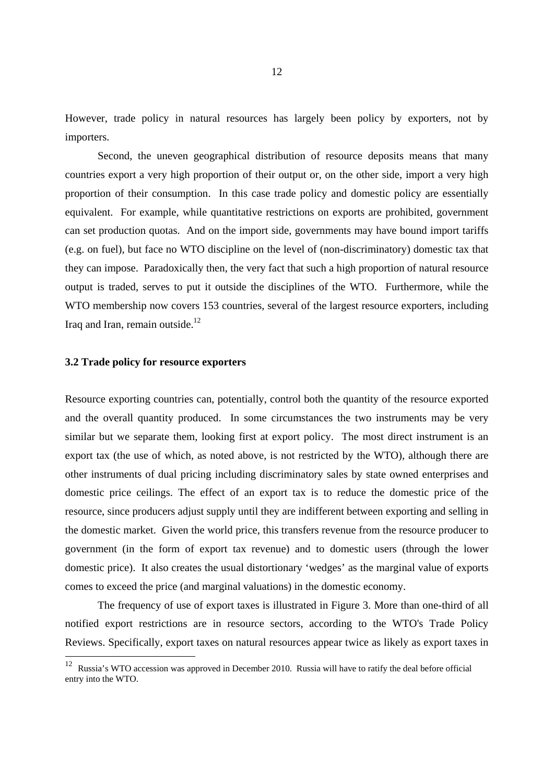However, trade policy in natural resources has largely been policy by exporters, not by importers.

 Second, the uneven geographical distribution of resource deposits means that many countries export a very high proportion of their output or, on the other side, import a very high proportion of their consumption. In this case trade policy and domestic policy are essentially equivalent. For example, while quantitative restrictions on exports are prohibited, government can set production quotas. And on the import side, governments may have bound import tariffs (e.g. on fuel), but face no WTO discipline on the level of (non-discriminatory) domestic tax that they can impose. Paradoxically then, the very fact that such a high proportion of natural resource output is traded, serves to put it outside the disciplines of the WTO. Furthermore, while the WTO membership now covers 153 countries, several of the largest resource exporters, including Iraq and Iran, remain outside. $^{12}$ 

#### **3.2 Trade policy for resource exporters**

-

Resource exporting countries can, potentially, control both the quantity of the resource exported and the overall quantity produced. In some circumstances the two instruments may be very similar but we separate them, looking first at export policy. The most direct instrument is an export tax (the use of which, as noted above, is not restricted by the WTO), although there are other instruments of dual pricing including discriminatory sales by state owned enterprises and domestic price ceilings. The effect of an export tax is to reduce the domestic price of the resource, since producers adjust supply until they are indifferent between exporting and selling in the domestic market. Given the world price, this transfers revenue from the resource producer to government (in the form of export tax revenue) and to domestic users (through the lower domestic price). It also creates the usual distortionary 'wedges' as the marginal value of exports comes to exceed the price (and marginal valuations) in the domestic economy.

The frequency of use of export taxes is illustrated in Figure 3. More than one-third of all notified export restrictions are in resource sectors, according to the WTO's Trade Policy Reviews. Specifically, export taxes on natural resources appear twice as likely as export taxes in

<sup>&</sup>lt;sup>12</sup> Russia's WTO accession was approved in December 2010. Russia will have to ratify the deal before official entry into the WTO.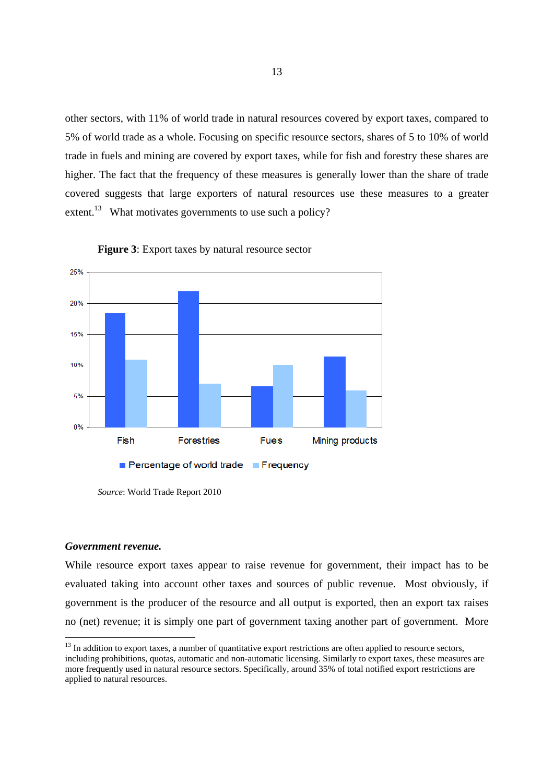other sectors, with 11% of world trade in natural resources covered by export taxes, compared to 5% of world trade as a whole. Focusing on specific resource sectors, shares of 5 to 10% of world trade in fuels and mining are covered by export taxes, while for fish and forestry these shares are higher. The fact that the frequency of these measures is generally lower than the share of trade covered suggests that large exporters of natural resources use these measures to a greater extent.<sup>13</sup> What motivates governments to use such a policy?

![](_page_14_Figure_1.jpeg)

![](_page_14_Figure_2.jpeg)

#### *Government revenue.*

-

While resource export taxes appear to raise revenue for government, their impact has to be evaluated taking into account other taxes and sources of public revenue. Most obviously, if government is the producer of the resource and all output is exported, then an export tax raises no (net) revenue; it is simply one part of government taxing another part of government. More

*Source*: World Trade Report 2010

<sup>&</sup>lt;sup>13</sup> In addition to export taxes, a number of quantitative export restrictions are often applied to resource sectors, including prohibitions, quotas, automatic and non-automatic licensing. Similarly to export taxes, these measures are more frequently used in natural resource sectors. Specifically, around 35% of total notified export restrictions are applied to natural resources.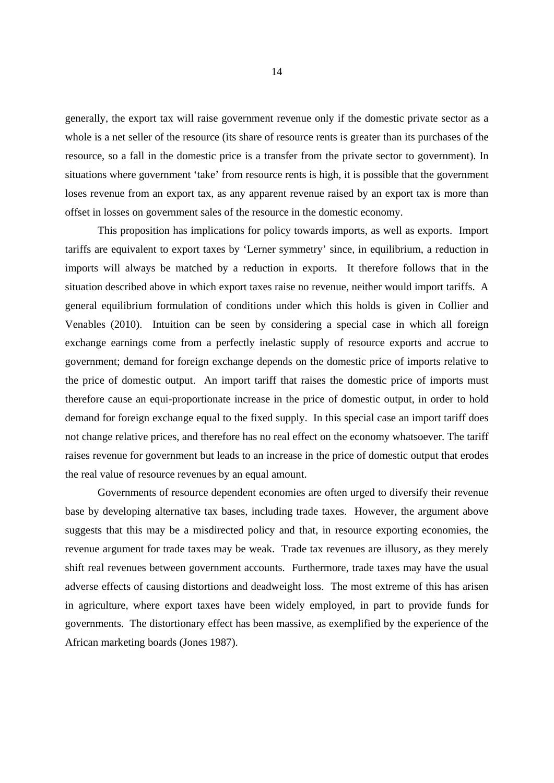generally, the export tax will raise government revenue only if the domestic private sector as a whole is a net seller of the resource (its share of resource rents is greater than its purchases of the resource, so a fall in the domestic price is a transfer from the private sector to government). In situations where government 'take' from resource rents is high, it is possible that the government loses revenue from an export tax, as any apparent revenue raised by an export tax is more than offset in losses on government sales of the resource in the domestic economy.

 This proposition has implications for policy towards imports, as well as exports. Import tariffs are equivalent to export taxes by 'Lerner symmetry' since, in equilibrium, a reduction in imports will always be matched by a reduction in exports. It therefore follows that in the situation described above in which export taxes raise no revenue, neither would import tariffs. A general equilibrium formulation of conditions under which this holds is given in Collier and Venables (2010). Intuition can be seen by considering a special case in which all foreign exchange earnings come from a perfectly inelastic supply of resource exports and accrue to government; demand for foreign exchange depends on the domestic price of imports relative to the price of domestic output. An import tariff that raises the domestic price of imports must therefore cause an equi-proportionate increase in the price of domestic output, in order to hold demand for foreign exchange equal to the fixed supply. In this special case an import tariff does not change relative prices, and therefore has no real effect on the economy whatsoever. The tariff raises revenue for government but leads to an increase in the price of domestic output that erodes the real value of resource revenues by an equal amount.

 Governments of resource dependent economies are often urged to diversify their revenue base by developing alternative tax bases, including trade taxes. However, the argument above suggests that this may be a misdirected policy and that, in resource exporting economies, the revenue argument for trade taxes may be weak. Trade tax revenues are illusory, as they merely shift real revenues between government accounts. Furthermore, trade taxes may have the usual adverse effects of causing distortions and deadweight loss. The most extreme of this has arisen in agriculture, where export taxes have been widely employed, in part to provide funds for governments. The distortionary effect has been massive, as exemplified by the experience of the African marketing boards (Jones 1987).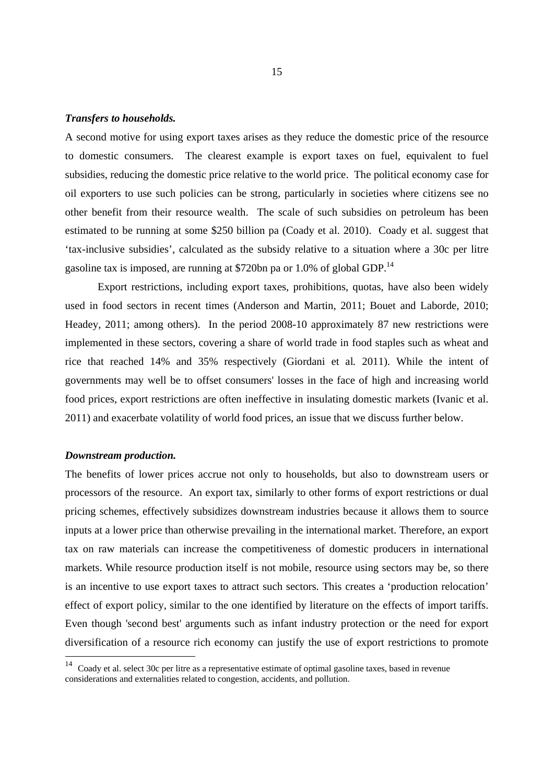### *Transfers to households.*

A second motive for using export taxes arises as they reduce the domestic price of the resource to domestic consumers. The clearest example is export taxes on fuel, equivalent to fuel subsidies, reducing the domestic price relative to the world price. The political economy case for oil exporters to use such policies can be strong, particularly in societies where citizens see no other benefit from their resource wealth. The scale of such subsidies on petroleum has been estimated to be running at some \$250 billion pa (Coady et al. 2010). Coady et al. suggest that 'tax-inclusive subsidies', calculated as the subsidy relative to a situation where a 30c per litre gasoline tax is imposed, are running at \$720bn pa or 1.0% of global GDP.<sup>14</sup>

 Export restrictions, including export taxes, prohibitions, quotas, have also been widely used in food sectors in recent times (Anderson and Martin, 2011; Bouet and Laborde, 2010; Headey, 2011; among others). In the period 2008-10 approximately 87 new restrictions were implemented in these sectors, covering a share of world trade in food staples such as wheat and rice that reached 14% and 35% respectively (Giordani et al*.* 2011). While the intent of governments may well be to offset consumers' losses in the face of high and increasing world food prices, export restrictions are often ineffective in insulating domestic markets (Ivanic et al. 2011) and exacerbate volatility of world food prices, an issue that we discuss further below.

#### *Downstream production.*

-

The benefits of lower prices accrue not only to households, but also to downstream users or processors of the resource. An export tax, similarly to other forms of export restrictions or dual pricing schemes, effectively subsidizes downstream industries because it allows them to source inputs at a lower price than otherwise prevailing in the international market. Therefore, an export tax on raw materials can increase the competitiveness of domestic producers in international markets. While resource production itself is not mobile, resource using sectors may be, so there is an incentive to use export taxes to attract such sectors. This creates a 'production relocation' effect of export policy, similar to the one identified by literature on the effects of import tariffs. Even though 'second best' arguments such as infant industry protection or the need for export diversification of a resource rich economy can justify the use of export restrictions to promote

<sup>&</sup>lt;sup>14</sup> Coady et al. select 30c per litre as a representative estimate of optimal gasoline taxes, based in revenue considerations and externalities related to congestion, accidents, and pollution.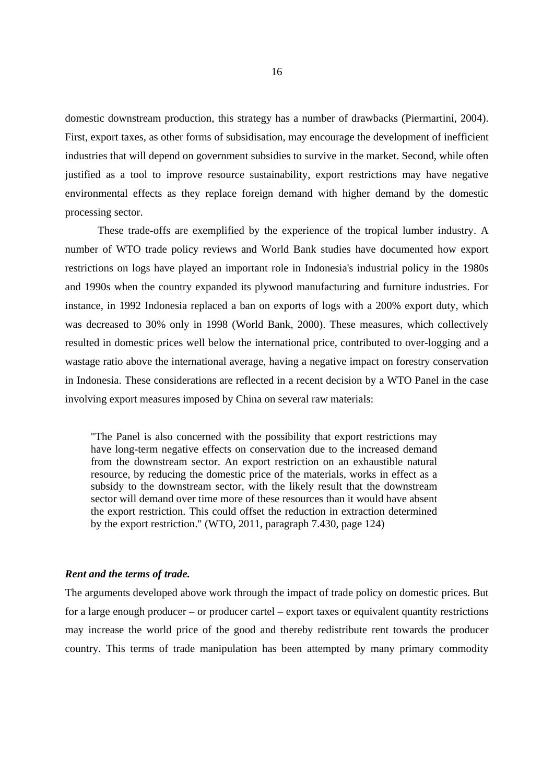domestic downstream production, this strategy has a number of drawbacks (Piermartini, 2004). First, export taxes, as other forms of subsidisation, may encourage the development of inefficient industries that will depend on government subsidies to survive in the market. Second, while often justified as a tool to improve resource sustainability, export restrictions may have negative environmental effects as they replace foreign demand with higher demand by the domestic processing sector.

 These trade-offs are exemplified by the experience of the tropical lumber industry. A number of WTO trade policy reviews and World Bank studies have documented how export restrictions on logs have played an important role in Indonesia's industrial policy in the 1980s and 1990s when the country expanded its plywood manufacturing and furniture industries. For instance, in 1992 Indonesia replaced a ban on exports of logs with a 200% export duty, which was decreased to 30% only in 1998 (World Bank, 2000). These measures, which collectively resulted in domestic prices well below the international price, contributed to over-logging and a wastage ratio above the international average, having a negative impact on forestry conservation in Indonesia. These considerations are reflected in a recent decision by a WTO Panel in the case involving export measures imposed by China on several raw materials:

"The Panel is also concerned with the possibility that export restrictions may have long-term negative effects on conservation due to the increased demand from the downstream sector. An export restriction on an exhaustible natural resource, by reducing the domestic price of the materials, works in effect as a subsidy to the downstream sector, with the likely result that the downstream sector will demand over time more of these resources than it would have absent the export restriction. This could offset the reduction in extraction determined by the export restriction." (WTO, 2011, paragraph 7.430, page 124)

#### *Rent and the terms of trade.*

The arguments developed above work through the impact of trade policy on domestic prices. But for a large enough producer – or producer cartel – export taxes or equivalent quantity restrictions may increase the world price of the good and thereby redistribute rent towards the producer country. This terms of trade manipulation has been attempted by many primary commodity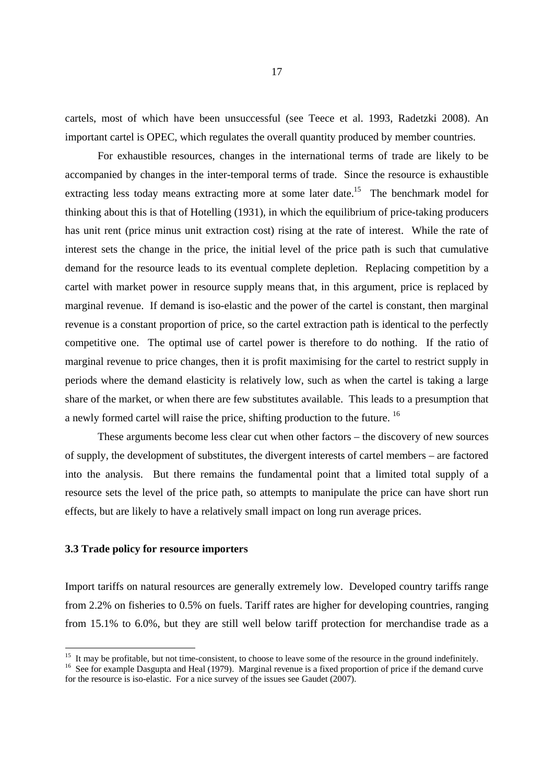cartels, most of which have been unsuccessful (see Teece et al. 1993, Radetzki 2008). An important cartel is OPEC, which regulates the overall quantity produced by member countries.

For exhaustible resources, changes in the international terms of trade are likely to be accompanied by changes in the inter-temporal terms of trade. Since the resource is exhaustible extracting less today means extracting more at some later date.<sup>15</sup> The benchmark model for thinking about this is that of Hotelling (1931), in which the equilibrium of price-taking producers has unit rent (price minus unit extraction cost) rising at the rate of interest. While the rate of interest sets the change in the price, the initial level of the price path is such that cumulative demand for the resource leads to its eventual complete depletion. Replacing competition by a cartel with market power in resource supply means that, in this argument, price is replaced by marginal revenue. If demand is iso-elastic and the power of the cartel is constant, then marginal revenue is a constant proportion of price, so the cartel extraction path is identical to the perfectly competitive one. The optimal use of cartel power is therefore to do nothing. If the ratio of marginal revenue to price changes, then it is profit maximising for the cartel to restrict supply in periods where the demand elasticity is relatively low, such as when the cartel is taking a large share of the market, or when there are few substitutes available. This leads to a presumption that a newly formed cartel will raise the price, shifting production to the future. 16

These arguments become less clear cut when other factors – the discovery of new sources of supply, the development of substitutes, the divergent interests of cartel members – are factored into the analysis. But there remains the fundamental point that a limited total supply of a resource sets the level of the price path, so attempts to manipulate the price can have short run effects, but are likely to have a relatively small impact on long run average prices.

#### **3.3 Trade policy for resource importers**

-

Import tariffs on natural resources are generally extremely low. Developed country tariffs range from 2.2% on fisheries to 0.5% on fuels. Tariff rates are higher for developing countries, ranging from 15.1% to 6.0%, but they are still well below tariff protection for merchandise trade as a

<sup>&</sup>lt;sup>15</sup> It may be profitable, but not time-consistent, to choose to leave some of the resource in the ground indefinitely.

<sup>&</sup>lt;sup>16</sup> See for example Dasgupta and Heal (1979). Marginal revenue is a fixed proportion of price if the demand curve for the resource is iso-elastic. For a nice survey of the issues see Gaudet (2007).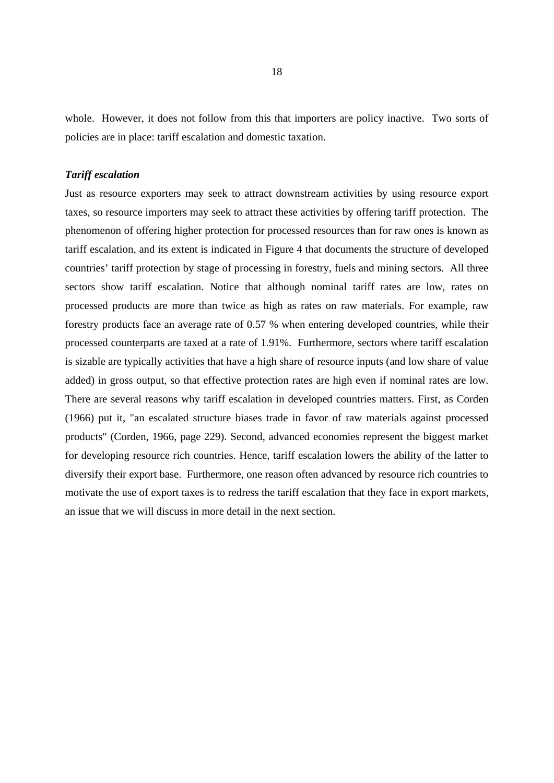whole. However, it does not follow from this that importers are policy inactive. Two sorts of policies are in place: tariff escalation and domestic taxation.

#### *Tariff escalation*

Just as resource exporters may seek to attract downstream activities by using resource export taxes, so resource importers may seek to attract these activities by offering tariff protection. The phenomenon of offering higher protection for processed resources than for raw ones is known as tariff escalation, and its extent is indicated in Figure 4 that documents the structure of developed countries' tariff protection by stage of processing in forestry, fuels and mining sectors. All three sectors show tariff escalation. Notice that although nominal tariff rates are low, rates on processed products are more than twice as high as rates on raw materials. For example, raw forestry products face an average rate of 0.57 % when entering developed countries, while their processed counterparts are taxed at a rate of 1.91%. Furthermore, sectors where tariff escalation is sizable are typically activities that have a high share of resource inputs (and low share of value added) in gross output, so that effective protection rates are high even if nominal rates are low. There are several reasons why tariff escalation in developed countries matters. First, as Corden (1966) put it, "an escalated structure biases trade in favor of raw materials against processed products" (Corden, 1966, page 229). Second, advanced economies represent the biggest market for developing resource rich countries. Hence, tariff escalation lowers the ability of the latter to diversify their export base. Furthermore, one reason often advanced by resource rich countries to motivate the use of export taxes is to redress the tariff escalation that they face in export markets, an issue that we will discuss in more detail in the next section.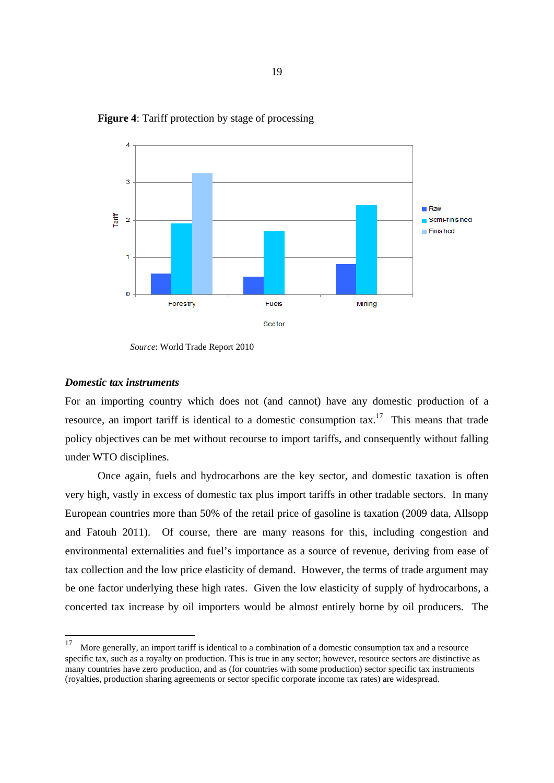![](_page_20_Figure_0.jpeg)

**Figure 4**: Tariff protection by stage of processing

## *Domestic tax instruments*

-

For an importing country which does not (and cannot) have any domestic production of a resource, an import tariff is identical to a domestic consumption tax.<sup>17</sup> This means that trade policy objectives can be met without recourse to import tariffs, and consequently without falling under WTO disciplines.

 Once again, fuels and hydrocarbons are the key sector, and domestic taxation is often very high, vastly in excess of domestic tax plus import tariffs in other tradable sectors. In many European countries more than 50% of the retail price of gasoline is taxation (2009 data, Allsopp and Fatouh 2011). Of course, there are many reasons for this, including congestion and environmental externalities and fuel's importance as a source of revenue, deriving from ease of tax collection and the low price elasticity of demand. However, the terms of trade argument may be one factor underlying these high rates. Given the low elasticity of supply of hydrocarbons, a concerted tax increase by oil importers would be almost entirely borne by oil producers. The

*Source*: World Trade Report 2010

<sup>&</sup>lt;sup>17</sup> More generally, an import tariff is identical to a combination of a domestic consumption tax and a resource specific tax, such as a royalty on production. This is true in any sector; however, resource sectors are distinctive as many countries have zero production, and as (for countries with some production) sector specific tax instruments (royalties, production sharing agreements or sector specific corporate income tax rates) are widespread.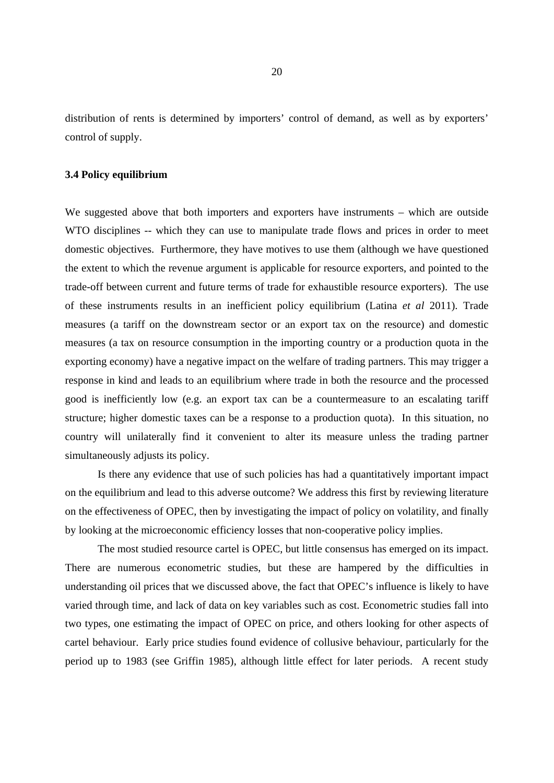distribution of rents is determined by importers' control of demand, as well as by exporters' control of supply.

#### **3.4 Policy equilibrium**

We suggested above that both importers and exporters have instruments – which are outside WTO disciplines -- which they can use to manipulate trade flows and prices in order to meet domestic objectives. Furthermore, they have motives to use them (although we have questioned the extent to which the revenue argument is applicable for resource exporters, and pointed to the trade-off between current and future terms of trade for exhaustible resource exporters). The use of these instruments results in an inefficient policy equilibrium (Latina *et al* 2011). Trade measures (a tariff on the downstream sector or an export tax on the resource) and domestic measures (a tax on resource consumption in the importing country or a production quota in the exporting economy) have a negative impact on the welfare of trading partners. This may trigger a response in kind and leads to an equilibrium where trade in both the resource and the processed good is inefficiently low (e.g. an export tax can be a countermeasure to an escalating tariff structure; higher domestic taxes can be a response to a production quota). In this situation, no country will unilaterally find it convenient to alter its measure unless the trading partner simultaneously adjusts its policy.

Is there any evidence that use of such policies has had a quantitatively important impact on the equilibrium and lead to this adverse outcome? We address this first by reviewing literature on the effectiveness of OPEC, then by investigating the impact of policy on volatility, and finally by looking at the microeconomic efficiency losses that non-cooperative policy implies.

 The most studied resource cartel is OPEC, but little consensus has emerged on its impact. There are numerous econometric studies, but these are hampered by the difficulties in understanding oil prices that we discussed above, the fact that OPEC's influence is likely to have varied through time, and lack of data on key variables such as cost. Econometric studies fall into two types, one estimating the impact of OPEC on price, and others looking for other aspects of cartel behaviour. Early price studies found evidence of collusive behaviour, particularly for the period up to 1983 (see Griffin 1985), although little effect for later periods. A recent study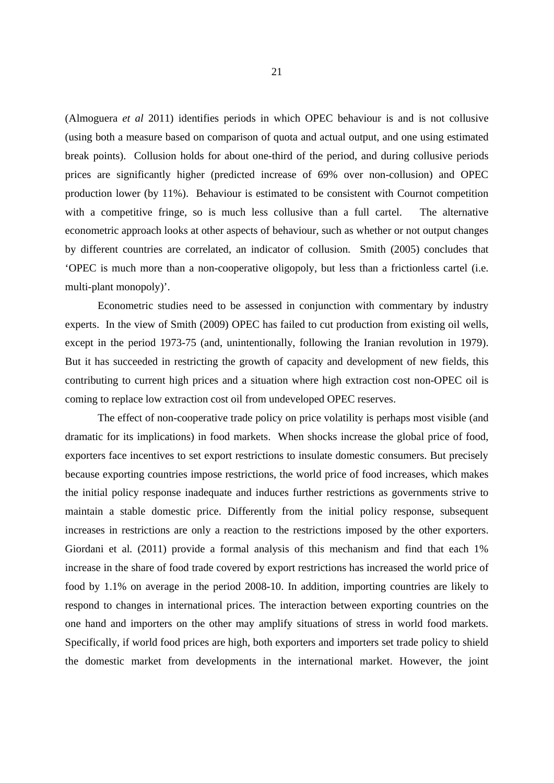(Almoguera *et al* 2011) identifies periods in which OPEC behaviour is and is not collusive (using both a measure based on comparison of quota and actual output, and one using estimated break points). Collusion holds for about one-third of the period, and during collusive periods prices are significantly higher (predicted increase of 69% over non-collusion) and OPEC production lower (by 11%). Behaviour is estimated to be consistent with Cournot competition with a competitive fringe, so is much less collusive than a full cartel. The alternative econometric approach looks at other aspects of behaviour, such as whether or not output changes by different countries are correlated, an indicator of collusion. Smith (2005) concludes that 'OPEC is much more than a non-cooperative oligopoly, but less than a frictionless cartel (i.e. multi-plant monopoly)'.

 Econometric studies need to be assessed in conjunction with commentary by industry experts. In the view of Smith (2009) OPEC has failed to cut production from existing oil wells, except in the period 1973-75 (and, unintentionally, following the Iranian revolution in 1979). But it has succeeded in restricting the growth of capacity and development of new fields, this contributing to current high prices and a situation where high extraction cost non-OPEC oil is coming to replace low extraction cost oil from undeveloped OPEC reserves.

 The effect of non-cooperative trade policy on price volatility is perhaps most visible (and dramatic for its implications) in food markets. When shocks increase the global price of food, exporters face incentives to set export restrictions to insulate domestic consumers. But precisely because exporting countries impose restrictions, the world price of food increases, which makes the initial policy response inadequate and induces further restrictions as governments strive to maintain a stable domestic price. Differently from the initial policy response, subsequent increases in restrictions are only a reaction to the restrictions imposed by the other exporters. Giordani et al. (2011) provide a formal analysis of this mechanism and find that each 1% increase in the share of food trade covered by export restrictions has increased the world price of food by 1.1% on average in the period 2008-10. In addition, importing countries are likely to respond to changes in international prices. The interaction between exporting countries on the one hand and importers on the other may amplify situations of stress in world food markets. Specifically, if world food prices are high, both exporters and importers set trade policy to shield the domestic market from developments in the international market. However, the joint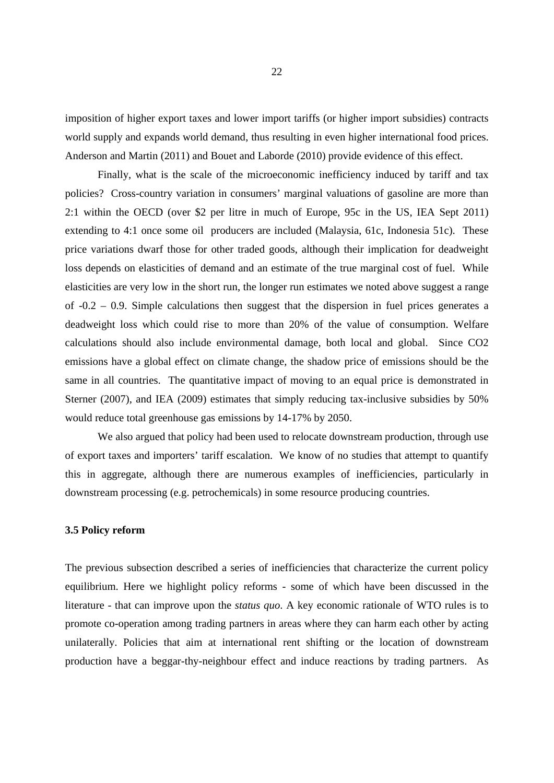imposition of higher export taxes and lower import tariffs (or higher import subsidies) contracts world supply and expands world demand, thus resulting in even higher international food prices. Anderson and Martin (2011) and Bouet and Laborde (2010) provide evidence of this effect.

 Finally, what is the scale of the microeconomic inefficiency induced by tariff and tax policies? Cross-country variation in consumers' marginal valuations of gasoline are more than 2:1 within the OECD (over \$2 per litre in much of Europe, 95c in the US, IEA Sept 2011) extending to 4:1 once some oil producers are included (Malaysia, 61c, Indonesia 51c). These price variations dwarf those for other traded goods, although their implication for deadweight loss depends on elasticities of demand and an estimate of the true marginal cost of fuel. While elasticities are very low in the short run, the longer run estimates we noted above suggest a range of -0.2 – 0.9. Simple calculations then suggest that the dispersion in fuel prices generates a deadweight loss which could rise to more than 20% of the value of consumption. Welfare calculations should also include environmental damage, both local and global. Since CO2 emissions have a global effect on climate change, the shadow price of emissions should be the same in all countries. The quantitative impact of moving to an equal price is demonstrated in Sterner (2007), and IEA (2009) estimates that simply reducing tax-inclusive subsidies by 50% would reduce total greenhouse gas emissions by 14-17% by 2050.

We also argued that policy had been used to relocate downstream production, through use of export taxes and importers' tariff escalation. We know of no studies that attempt to quantify this in aggregate, although there are numerous examples of inefficiencies, particularly in downstream processing (e.g. petrochemicals) in some resource producing countries.

#### **3.5 Policy reform**

The previous subsection described a series of inefficiencies that characterize the current policy equilibrium. Here we highlight policy reforms - some of which have been discussed in the literature - that can improve upon the *status quo*. A key economic rationale of WTO rules is to promote co-operation among trading partners in areas where they can harm each other by acting unilaterally. Policies that aim at international rent shifting or the location of downstream production have a beggar-thy-neighbour effect and induce reactions by trading partners. As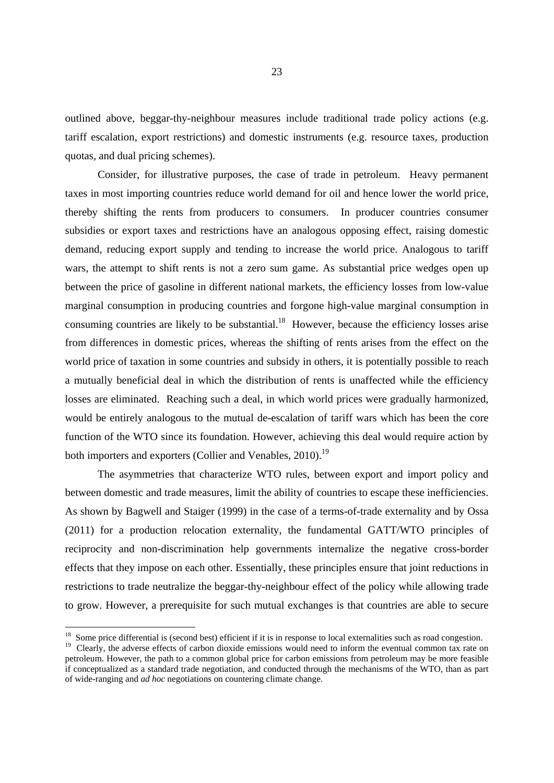outlined above, beggar-thy-neighbour measures include traditional trade policy actions (e.g. tariff escalation, export restrictions) and domestic instruments (e.g. resource taxes, production quotas, and dual pricing schemes).

 Consider, for illustrative purposes, the case of trade in petroleum. Heavy permanent taxes in most importing countries reduce world demand for oil and hence lower the world price, thereby shifting the rents from producers to consumers. In producer countries consumer subsidies or export taxes and restrictions have an analogous opposing effect, raising domestic demand, reducing export supply and tending to increase the world price. Analogous to tariff wars, the attempt to shift rents is not a zero sum game. As substantial price wedges open up between the price of gasoline in different national markets, the efficiency losses from low-value marginal consumption in producing countries and forgone high-value marginal consumption in consuming countries are likely to be substantial.<sup>18</sup> However, because the efficiency losses arise from differences in domestic prices, whereas the shifting of rents arises from the effect on the world price of taxation in some countries and subsidy in others, it is potentially possible to reach a mutually beneficial deal in which the distribution of rents is unaffected while the efficiency losses are eliminated. Reaching such a deal, in which world prices were gradually harmonized, would be entirely analogous to the mutual de-escalation of tariff wars which has been the core function of the WTO since its foundation. However, achieving this deal would require action by both importers and exporters (Collier and Venables, 2010).<sup>19</sup>

The asymmetries that characterize WTO rules, between export and import policy and between domestic and trade measures, limit the ability of countries to escape these inefficiencies. As shown by Bagwell and Staiger (1999) in the case of a terms-of-trade externality and by Ossa (2011) for a production relocation externality, the fundamental GATT/WTO principles of reciprocity and non-discrimination help governments internalize the negative cross-border effects that they impose on each other. Essentially, these principles ensure that joint reductions in restrictions to trade neutralize the beggar-thy-neighbour effect of the policy while allowing trade to grow. However, a prerequisite for such mutual exchanges is that countries are able to secure

 $18$  Some price differential is (second best) efficient if it is in response to local externalities such as road congestion.

<sup>&</sup>lt;sup>19</sup> Clearly, the adverse effects of carbon dioxide emissions would need to inform the eventual common tax rate on petroleum. However, the path to a common global price for carbon emissions from petroleum may be more feasible if conceptualized as a standard trade negotiation, and conducted through the mechanisms of the WTO, than as part of wide-ranging and *ad hoc* negotiations on countering climate change.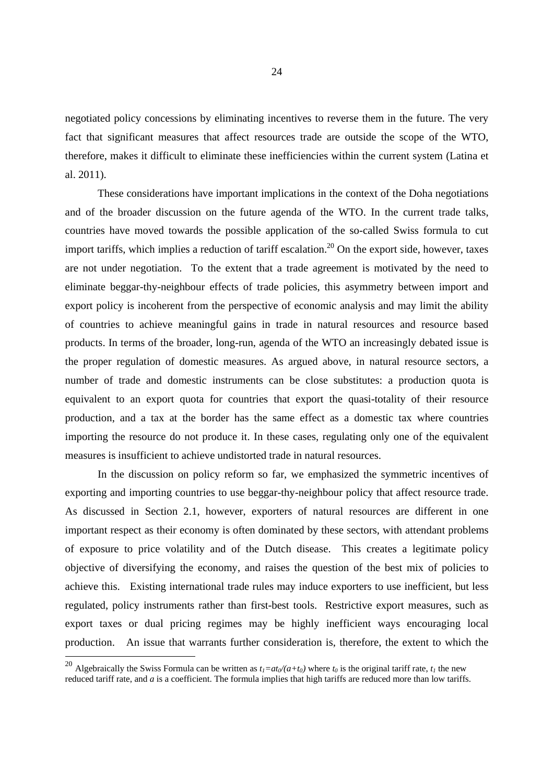negotiated policy concessions by eliminating incentives to reverse them in the future. The very fact that significant measures that affect resources trade are outside the scope of the WTO, therefore, makes it difficult to eliminate these inefficiencies within the current system (Latina et al. 2011).

These considerations have important implications in the context of the Doha negotiations and of the broader discussion on the future agenda of the WTO. In the current trade talks, countries have moved towards the possible application of the so-called Swiss formula to cut import tariffs, which implies a reduction of tariff escalation.<sup>20</sup> On the export side, however, taxes are not under negotiation. To the extent that a trade agreement is motivated by the need to eliminate beggar-thy-neighbour effects of trade policies, this asymmetry between import and export policy is incoherent from the perspective of economic analysis and may limit the ability of countries to achieve meaningful gains in trade in natural resources and resource based products. In terms of the broader, long-run, agenda of the WTO an increasingly debated issue is the proper regulation of domestic measures. As argued above, in natural resource sectors, a number of trade and domestic instruments can be close substitutes: a production quota is equivalent to an export quota for countries that export the quasi-totality of their resource production, and a tax at the border has the same effect as a domestic tax where countries importing the resource do not produce it. In these cases, regulating only one of the equivalent measures is insufficient to achieve undistorted trade in natural resources.

In the discussion on policy reform so far, we emphasized the symmetric incentives of exporting and importing countries to use beggar-thy-neighbour policy that affect resource trade. As discussed in Section 2.1, however, exporters of natural resources are different in one important respect as their economy is often dominated by these sectors, with attendant problems of exposure to price volatility and of the Dutch disease. This creates a legitimate policy objective of diversifying the economy, and raises the question of the best mix of policies to achieve this. Existing international trade rules may induce exporters to use inefficient, but less regulated, policy instruments rather than first-best tools. Restrictive export measures, such as export taxes or dual pricing regimes may be highly inefficient ways encouraging local production. An issue that warrants further consideration is, therefore, the extent to which the

<sup>&</sup>lt;sup>20</sup> Algebraically the Swiss Formula can be written as  $t_1=at_0/(a+t_0)$  where  $t_0$  is the original tariff rate,  $t_1$  the new reduced tariff rate, and *a* is a coefficient. The formula implies that high tariffs are reduced more than low tariffs.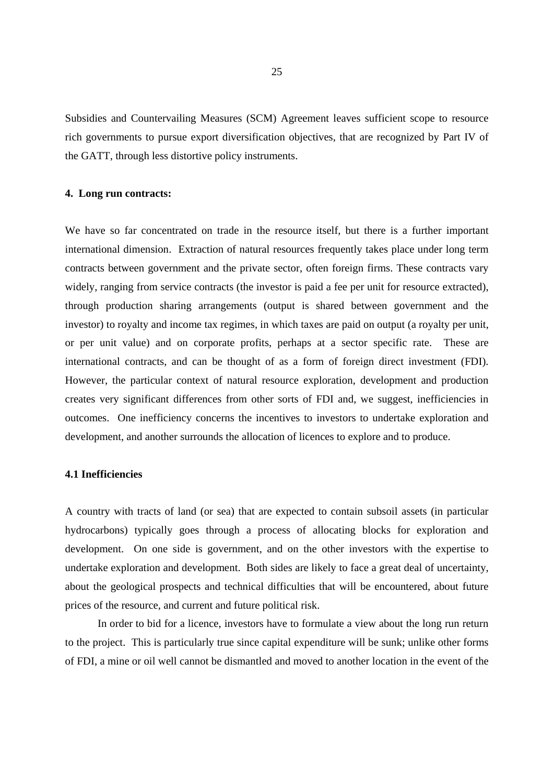Subsidies and Countervailing Measures (SCM) Agreement leaves sufficient scope to resource rich governments to pursue export diversification objectives, that are recognized by Part IV of the GATT, through less distortive policy instruments.

#### **4. Long run contracts:**

We have so far concentrated on trade in the resource itself, but there is a further important international dimension. Extraction of natural resources frequently takes place under long term contracts between government and the private sector, often foreign firms. These contracts vary widely, ranging from service contracts (the investor is paid a fee per unit for resource extracted), through production sharing arrangements (output is shared between government and the investor) to royalty and income tax regimes, in which taxes are paid on output (a royalty per unit, or per unit value) and on corporate profits, perhaps at a sector specific rate. These are international contracts, and can be thought of as a form of foreign direct investment (FDI). However, the particular context of natural resource exploration, development and production creates very significant differences from other sorts of FDI and, we suggest, inefficiencies in outcomes. One inefficiency concerns the incentives to investors to undertake exploration and development, and another surrounds the allocation of licences to explore and to produce.

## **4.1 Inefficiencies**

A country with tracts of land (or sea) that are expected to contain subsoil assets (in particular hydrocarbons) typically goes through a process of allocating blocks for exploration and development. On one side is government, and on the other investors with the expertise to undertake exploration and development. Both sides are likely to face a great deal of uncertainty, about the geological prospects and technical difficulties that will be encountered, about future prices of the resource, and current and future political risk.

In order to bid for a licence, investors have to formulate a view about the long run return to the project. This is particularly true since capital expenditure will be sunk; unlike other forms of FDI, a mine or oil well cannot be dismantled and moved to another location in the event of the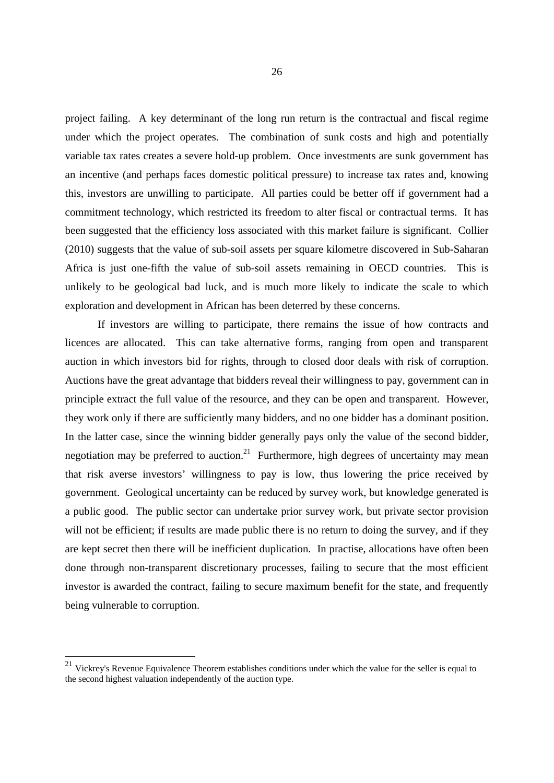project failing. A key determinant of the long run return is the contractual and fiscal regime under which the project operates. The combination of sunk costs and high and potentially variable tax rates creates a severe hold-up problem. Once investments are sunk government has an incentive (and perhaps faces domestic political pressure) to increase tax rates and, knowing this, investors are unwilling to participate. All parties could be better off if government had a commitment technology, which restricted its freedom to alter fiscal or contractual terms. It has been suggested that the efficiency loss associated with this market failure is significant. Collier (2010) suggests that the value of sub-soil assets per square kilometre discovered in Sub-Saharan Africa is just one-fifth the value of sub-soil assets remaining in OECD countries. This is unlikely to be geological bad luck, and is much more likely to indicate the scale to which exploration and development in African has been deterred by these concerns.

If investors are willing to participate, there remains the issue of how contracts and licences are allocated. This can take alternative forms, ranging from open and transparent auction in which investors bid for rights, through to closed door deals with risk of corruption. Auctions have the great advantage that bidders reveal their willingness to pay, government can in principle extract the full value of the resource, and they can be open and transparent. However, they work only if there are sufficiently many bidders, and no one bidder has a dominant position. In the latter case, since the winning bidder generally pays only the value of the second bidder, negotiation may be preferred to auction.<sup>21</sup> Furthermore, high degrees of uncertainty may mean that risk averse investors' willingness to pay is low, thus lowering the price received by government. Geological uncertainty can be reduced by survey work, but knowledge generated is a public good. The public sector can undertake prior survey work, but private sector provision will not be efficient; if results are made public there is no return to doing the survey, and if they are kept secret then there will be inefficient duplication. In practise, allocations have often been done through non-transparent discretionary processes, failing to secure that the most efficient investor is awarded the contract, failing to secure maximum benefit for the state, and frequently being vulnerable to corruption.

<sup>&</sup>lt;sup>21</sup> Vickrey's Revenue Equivalence Theorem establishes conditions under which the value for the seller is equal to the second highest valuation independently of the auction type.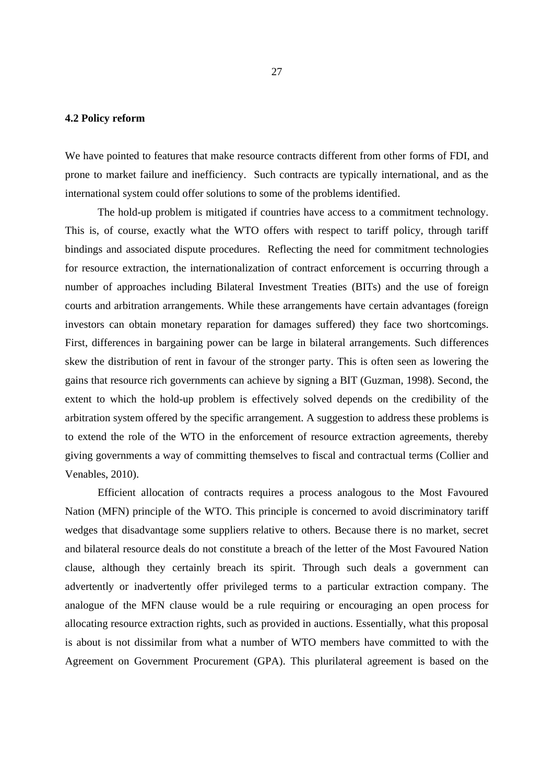## **4.2 Policy reform**

We have pointed to features that make resource contracts different from other forms of FDI, and prone to market failure and inefficiency. Such contracts are typically international, and as the international system could offer solutions to some of the problems identified.

The hold-up problem is mitigated if countries have access to a commitment technology. This is, of course, exactly what the WTO offers with respect to tariff policy, through tariff bindings and associated dispute procedures. Reflecting the need for commitment technologies for resource extraction, the internationalization of contract enforcement is occurring through a number of approaches including Bilateral Investment Treaties (BITs) and the use of foreign courts and arbitration arrangements. While these arrangements have certain advantages (foreign investors can obtain monetary reparation for damages suffered) they face two shortcomings. First, differences in bargaining power can be large in bilateral arrangements. Such differences skew the distribution of rent in favour of the stronger party. This is often seen as lowering the gains that resource rich governments can achieve by signing a BIT (Guzman, 1998). Second, the extent to which the hold-up problem is effectively solved depends on the credibility of the arbitration system offered by the specific arrangement. A suggestion to address these problems is to extend the role of the WTO in the enforcement of resource extraction agreements, thereby giving governments a way of committing themselves to fiscal and contractual terms (Collier and Venables, 2010).

Efficient allocation of contracts requires a process analogous to the Most Favoured Nation (MFN) principle of the WTO. This principle is concerned to avoid discriminatory tariff wedges that disadvantage some suppliers relative to others. Because there is no market, secret and bilateral resource deals do not constitute a breach of the letter of the Most Favoured Nation clause, although they certainly breach its spirit. Through such deals a government can advertently or inadvertently offer privileged terms to a particular extraction company. The analogue of the MFN clause would be a rule requiring or encouraging an open process for allocating resource extraction rights, such as provided in auctions. Essentially, what this proposal is about is not dissimilar from what a number of WTO members have committed to with the Agreement on Government Procurement (GPA). This plurilateral agreement is based on the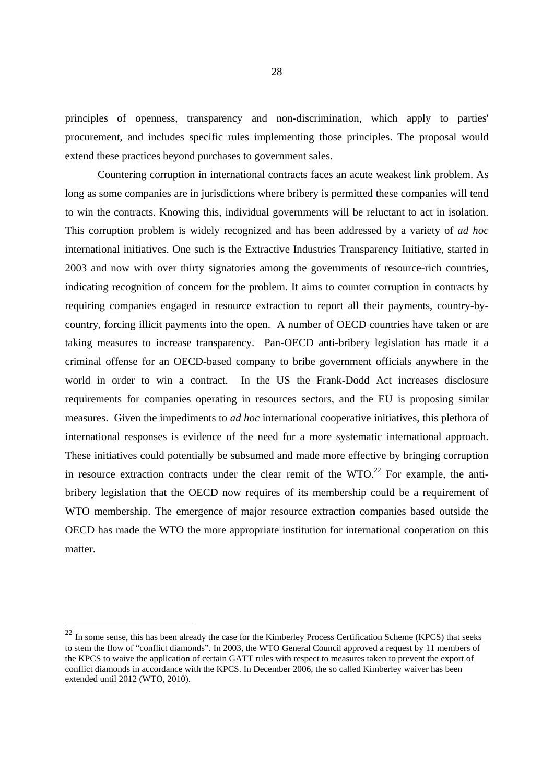principles of openness, transparency and non-discrimination, which apply to parties' procurement, and includes specific rules implementing those principles. The proposal would extend these practices beyond purchases to government sales.

Countering corruption in international contracts faces an acute weakest link problem. As long as some companies are in jurisdictions where bribery is permitted these companies will tend to win the contracts. Knowing this, individual governments will be reluctant to act in isolation. This corruption problem is widely recognized and has been addressed by a variety of *ad hoc* international initiatives. One such is the Extractive Industries Transparency Initiative, started in 2003 and now with over thirty signatories among the governments of resource-rich countries, indicating recognition of concern for the problem. It aims to counter corruption in contracts by requiring companies engaged in resource extraction to report all their payments, country-bycountry, forcing illicit payments into the open. A number of OECD countries have taken or are taking measures to increase transparency. Pan-OECD anti-bribery legislation has made it a criminal offense for an OECD-based company to bribe government officials anywhere in the world in order to win a contract. In the US the Frank-Dodd Act increases disclosure requirements for companies operating in resources sectors, and the EU is proposing similar measures. Given the impediments to *ad hoc* international cooperative initiatives, this plethora of international responses is evidence of the need for a more systematic international approach. These initiatives could potentially be subsumed and made more effective by bringing corruption in resource extraction contracts under the clear remit of the WTO.<sup>22</sup> For example, the antibribery legislation that the OECD now requires of its membership could be a requirement of WTO membership. The emergence of major resource extraction companies based outside the OECD has made the WTO the more appropriate institution for international cooperation on this matter.

<sup>&</sup>lt;sup>22</sup> In some sense, this has been already the case for the Kimberley Process Certification Scheme (KPCS) that seeks to stem the flow of "conflict diamonds". In 2003, the WTO General Council approved a request by 11 members of the KPCS to waive the application of certain GATT rules with respect to measures taken to prevent the export of conflict diamonds in accordance with the KPCS. In December 2006, the so called Kimberley waiver has been extended until 2012 (WTO, 2010).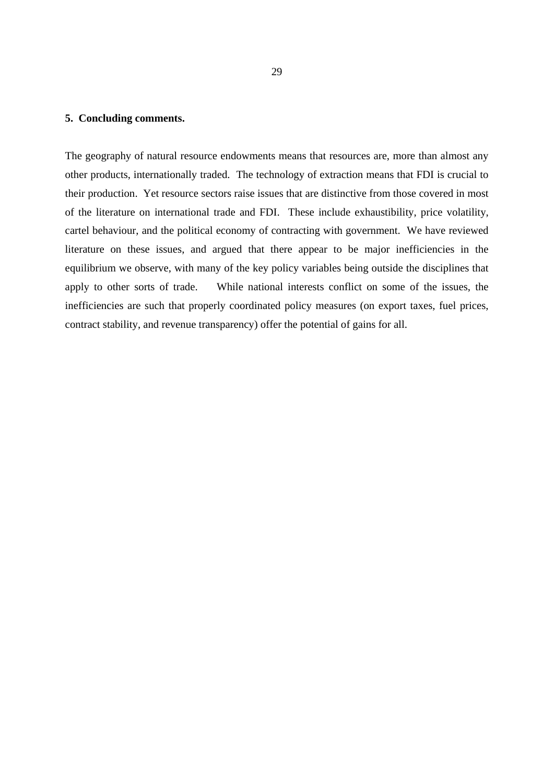## **5. Concluding comments.**

The geography of natural resource endowments means that resources are, more than almost any other products, internationally traded. The technology of extraction means that FDI is crucial to their production. Yet resource sectors raise issues that are distinctive from those covered in most of the literature on international trade and FDI. These include exhaustibility, price volatility, cartel behaviour, and the political economy of contracting with government. We have reviewed literature on these issues, and argued that there appear to be major inefficiencies in the equilibrium we observe, with many of the key policy variables being outside the disciplines that apply to other sorts of trade. While national interests conflict on some of the issues, the inefficiencies are such that properly coordinated policy measures (on export taxes, fuel prices, contract stability, and revenue transparency) offer the potential of gains for all.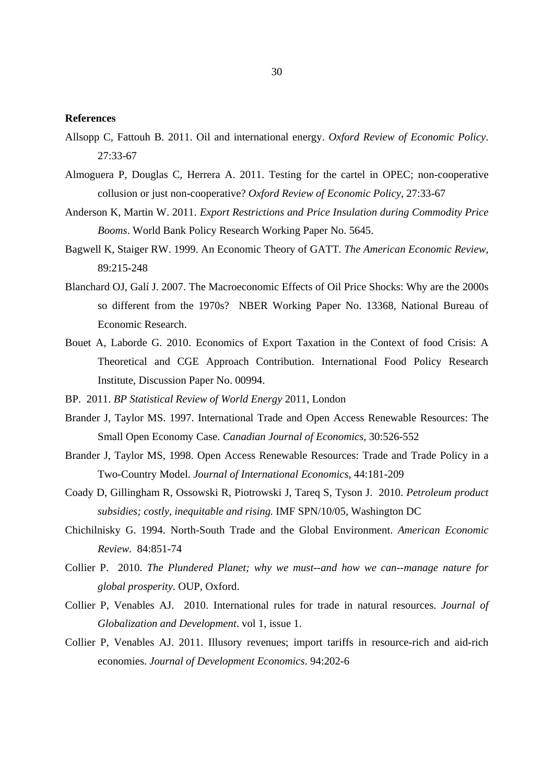#### **References**

- Allsopp C, Fattouh B. 2011. Oil and international energy. *Oxford Review of Economic Policy*. 27:33-67
- Almoguera P, Douglas C, Herrera A. 2011. Testing for the cartel in OPEC; non-cooperative collusion or just non-cooperative? *Oxford Review of Economic Policy*, 27:33-67
- Anderson K, Martin W. 2011. *Export Restrictions and Price Insulation during Commodity Price Booms*. World Bank Policy Research Working Paper No. 5645.
- Bagwell K, Staiger RW. 1999. An Economic Theory of GATT*. The American Economic Review*, 89:215-248
- Blanchard OJ, Galí J. 2007. The Macroeconomic Effects of Oil Price Shocks: Why are the 2000s so different from the 1970s? NBER Working Paper No. 13368, National Bureau of Economic Research.
- Bouet A, Laborde G. 2010. Economics of Export Taxation in the Context of food Crisis: A Theoretical and CGE Approach Contribution. International Food Policy Research Institute, Discussion Paper No. 00994.
- BP. 2011. *BP Statistical Review of World Energy* 2011, London
- Brander J, Taylor MS. 1997. International Trade and Open Access Renewable Resources: The Small Open Economy Case. *Canadian Journal of Economics*, 30:526-552
- Brander J, Taylor MS, 1998. Open Access Renewable Resources: Trade and Trade Policy in a Two-Country Model. *Journal of International Economics*, 44:181-209
- Coady D, Gillingham R, Ossowski R, Piotrowski J, Tareq S, Tyson J. 2010. *Petroleum product subsidies; costly, inequitable and rising.* IMF SPN/10/05, Washington DC
- Chichilnisky G. 1994. North-South Trade and the Global Environment. *American Economic Review.* 84:851-74
- Collier P. 2010. *The Plundered Planet; why we must--and how we can--manage nature for global prosperity*. OUP, Oxford.
- Collier P, Venables AJ. 2010. International rules for trade in natural resources. *Journal of Globalization and Development*. vol 1, issue 1.
- Collier P, Venables AJ. 2011. Illusory revenues; import tariffs in resource-rich and aid-rich economies. *Journal of Development Economics*. 94:202-6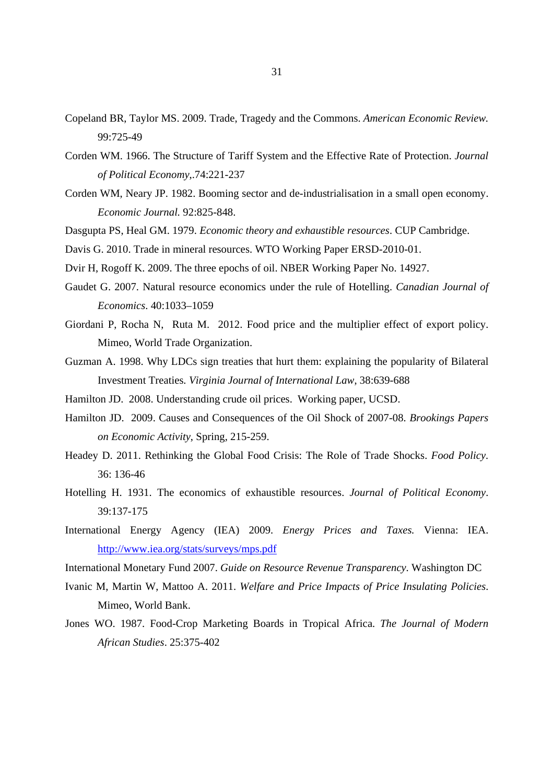- Copeland BR, Taylor MS. 2009. Trade, Tragedy and the Commons. *American Economic Review.*  99:725-49
- Corden WM. 1966. The Structure of Tariff System and the Effective Rate of Protection. *Journal of Political Economy*,.74:221-237
- Corden WM, Neary JP. 1982. Booming sector and de-industrialisation in a small open economy. *Economic Journal.* 92:825-848.
- Dasgupta PS, Heal GM. 1979. *Economic theory and exhaustible resources*. CUP Cambridge.
- Davis G. 2010. Trade in mineral resources. WTO Working Paper ERSD-2010-01.
- Dvir H, Rogoff K. 2009. The three epochs of oil. NBER Working Paper No. 14927.
- Gaudet G. 2007. Natural resource economics under the rule of Hotelling. *Canadian Journal of Economics*. 40:1033–1059
- Giordani P, Rocha N, Ruta M. 2012. Food price and the multiplier effect of export policy. Mimeo, World Trade Organization.
- Guzman A. 1998. Why LDCs sign treaties that hurt them: explaining the popularity of Bilateral Investment Treaties*. Virginia Journal of International Law*, 38:639-688
- Hamilton JD. 2008. Understanding crude oil prices. Working paper, UCSD.
- Hamilton JD. 2009. Causes and Consequences of the Oil Shock of 2007-08*. Brookings Papers on Economic Activity*, Spring, 215-259.
- Headey D. 2011. Rethinking the Global Food Crisis: The Role of Trade Shocks. *Food Policy*. 36: 136-46
- Hotelling H. 1931. The economics of exhaustible resources. *Journal of Political Economy*. 39:137-175
- International Energy Agency (IEA) 2009. *Energy Prices and Taxes.* Vienna: IEA. http://www.iea.org/stats/surveys/mps.pdf
- International Monetary Fund 2007. *Guide on Resource Revenue Transparency*. Washington DC
- Ivanic M, Martin W, Mattoo A. 2011. *Welfare and Price Impacts of Price Insulating Policies*. Mimeo, World Bank.
- Jones WO. 1987. Food-Crop Marketing Boards in Tropical Africa. *The Journal of Modern African Studies*. 25:375-402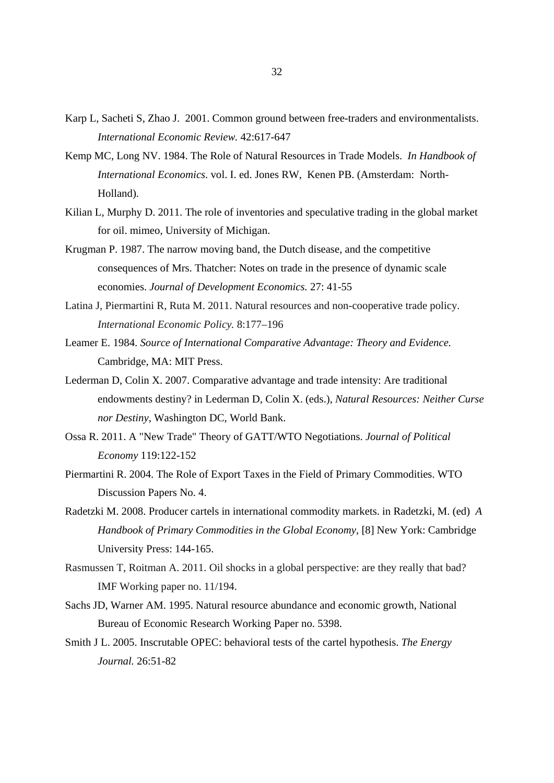- Karp L, Sacheti S, Zhao J. 2001. Common ground between free-traders and environmentalists. *International Economic Review.* 42:617-647
- Kemp MC, Long NV. 1984. The Role of Natural Resources in Trade Models. *In Handbook of International Economics*. vol. I. ed. Jones RW, Kenen PB. (Amsterdam: North-Holland).
- Kilian L, Murphy D. 2011. The role of inventories and speculative trading in the global market for oil. mimeo, University of Michigan.
- Krugman P. 1987. The narrow moving band, the Dutch disease, and the competitive consequences of Mrs. Thatcher: Notes on trade in the presence of dynamic scale economies. *Journal of Development Economics.* 27: 41-55
- Latina J, Piermartini R, Ruta M. 2011. Natural resources and non-cooperative trade policy. *International Economic Policy.* 8:177–196
- Leamer E. 1984. *Source of International Comparative Advantage: Theory and Evidence.*  Cambridge, MA: MIT Press.
- Lederman D, Colin X. 2007. Comparative advantage and trade intensity: Are traditional endowments destiny? in Lederman D, Colin X. (eds.), *Natural Resources: Neither Curse nor Destiny*, Washington DC, World Bank.
- Ossa R. 2011. A "New Trade" Theory of GATT/WTO Negotiations. *Journal of Political Economy* 119:122-152
- Piermartini R. 2004. The Role of Export Taxes in the Field of Primary Commodities. WTO Discussion Papers No. 4.
- Radetzki M. 2008. Producer cartels in international commodity markets. in Radetzki, M. (ed) *A Handbook of Primary Commodities in the Global Economy*, [8] New York: Cambridge University Press: 144-165.
- Rasmussen T, Roitman A. 2011. Oil shocks in a global perspective: are they really that bad? IMF Working paper no. 11/194.
- Sachs JD, Warner AM. 1995. Natural resource abundance and economic growth, National Bureau of Economic Research Working Paper no. 5398.
- Smith J L. 2005. Inscrutable OPEC: behavioral tests of the cartel hypothesis. *The Energy Journal.* 26:51-82